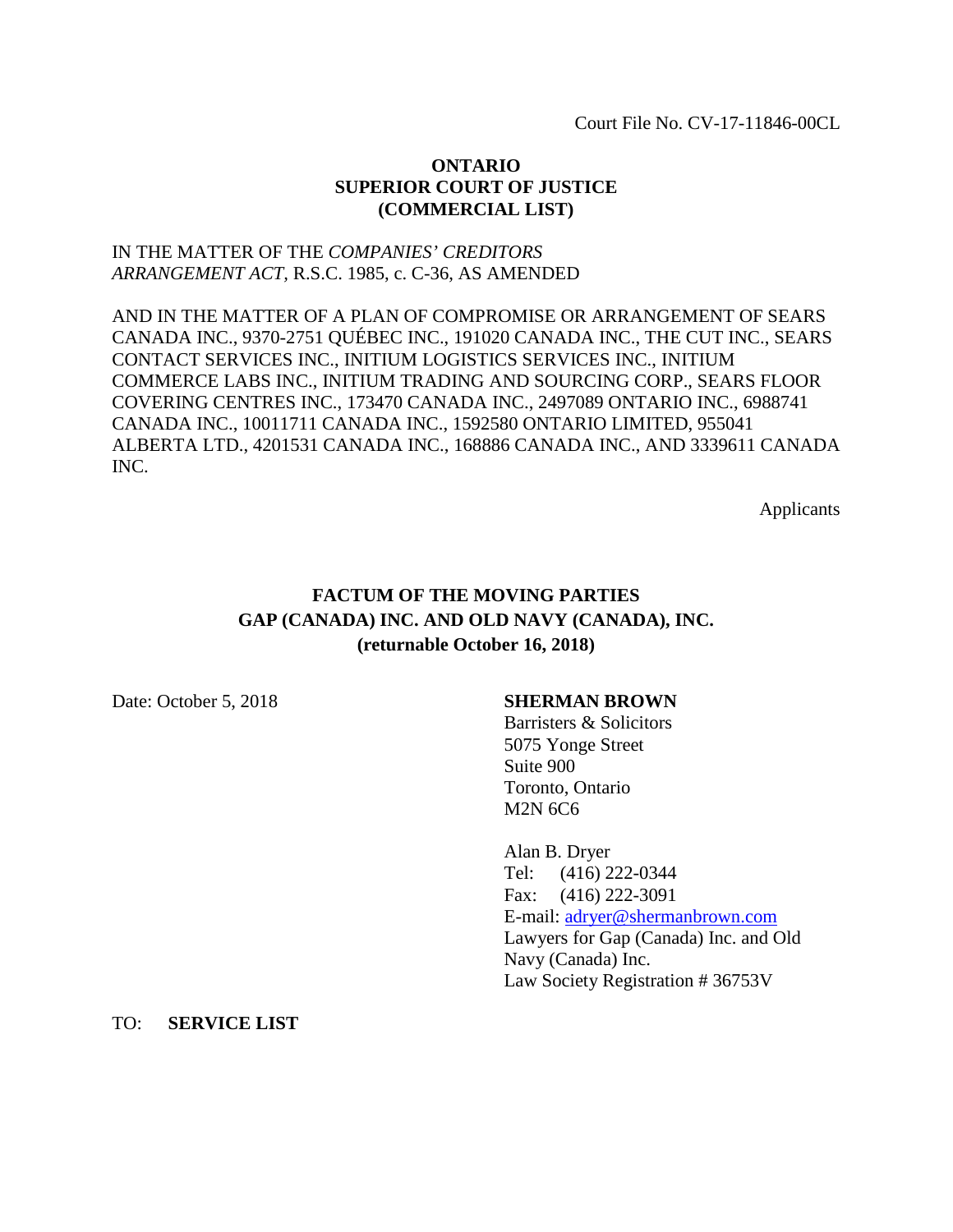Court File No. CV-17-11846-00CL

# **ONTARIO SUPERIOR COURT OF JUSTICE (COMMERCIAL LIST)**

# IN THE MATTER OF THE *COMPANIES' CREDITORS ARRANGEMENT ACT,* R.S.C. 1985, c. C-36, AS AMENDED

AND IN THE MATTER OF A PLAN OF COMPROMISE OR ARRANGEMENT OF SEARS CANADA INC., 9370-2751 QUÉBEC INC., 191020 CANADA INC., THE CUT INC., SEARS CONTACT SERVICES INC., INITIUM LOGISTICS SERVICES INC., INITIUM COMMERCE LABS INC., INITIUM TRADING AND SOURCING CORP., SEARS FLOOR COVERING CENTRES INC., 173470 CANADA INC., 2497089 ONTARIO INC., 6988741 CANADA INC., 10011711 CANADA INC., 1592580 ONTARIO LIMITED, 955041 ALBERTA LTD., 4201531 CANADA INC., 168886 CANADA INC., AND 3339611 CANADA INC.

Applicants

# **FACTUM OF THE MOVING PARTIES GAP (CANADA) INC. AND OLD NAVY (CANADA), INC. (returnable October 16, 2018)**

# Date: October 5, 2018 **SHERMAN BROWN**

Barristers & Solicitors 5075 Yonge Street Suite 900 Toronto, Ontario M2N 6C6

Alan B. Dryer Tel: (416) 222-0344 Fax: (416) 222-3091 E-mail: [adryer@shermanbrown.com](mailto:adryer@shermanbrown.com)  Lawyers for Gap (Canada) Inc. and Old Navy (Canada) Inc. Law Society Registration # 36753V

TO: **SERVICE LIST**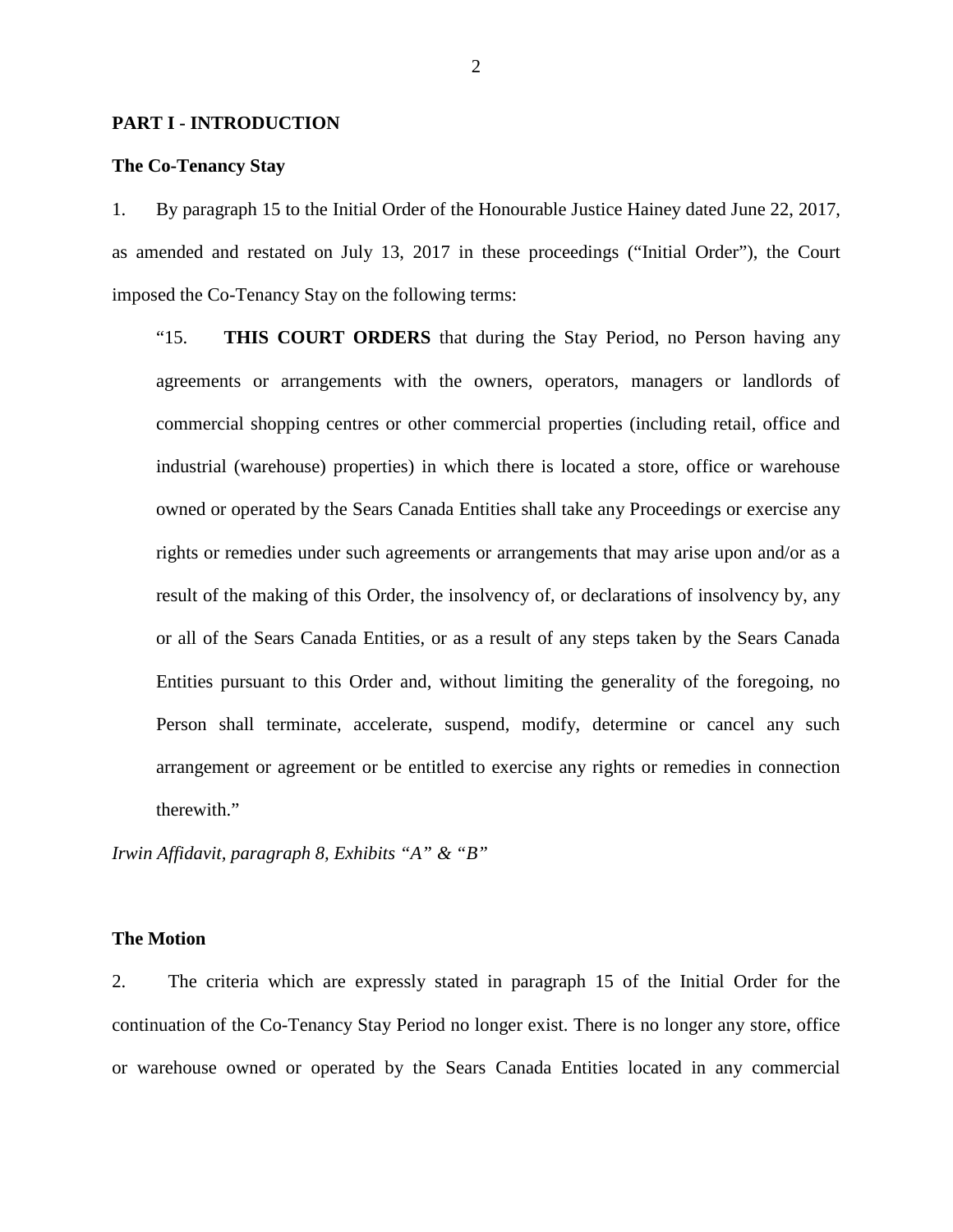## **PART I - INTRODUCTION**

## **The Co-Tenancy Stay**

1. By paragraph 15 to the Initial Order of the Honourable Justice Hainey dated June 22, 2017, as amended and restated on July 13, 2017 in these proceedings ("Initial Order"), the Court imposed the Co-Tenancy Stay on the following terms:

"15. **THIS COURT ORDERS** that during the Stay Period, no Person having any agreements or arrangements with the owners, operators, managers or landlords of commercial shopping centres or other commercial properties (including retail, office and industrial (warehouse) properties) in which there is located a store, office or warehouse owned or operated by the Sears Canada Entities shall take any Proceedings or exercise any rights or remedies under such agreements or arrangements that may arise upon and/or as a result of the making of this Order, the insolvency of, or declarations of insolvency by, any or all of the Sears Canada Entities, or as a result of any steps taken by the Sears Canada Entities pursuant to this Order and, without limiting the generality of the foregoing, no Person shall terminate, accelerate, suspend, modify, determine or cancel any such arrangement or agreement or be entitled to exercise any rights or remedies in connection therewith."

*Irwin Affidavit, paragraph 8, Exhibits "A" & "B"*

# **The Motion**

2. The criteria which are expressly stated in paragraph 15 of the Initial Order for the continuation of the Co-Tenancy Stay Period no longer exist. There is no longer any store, office or warehouse owned or operated by the Sears Canada Entities located in any commercial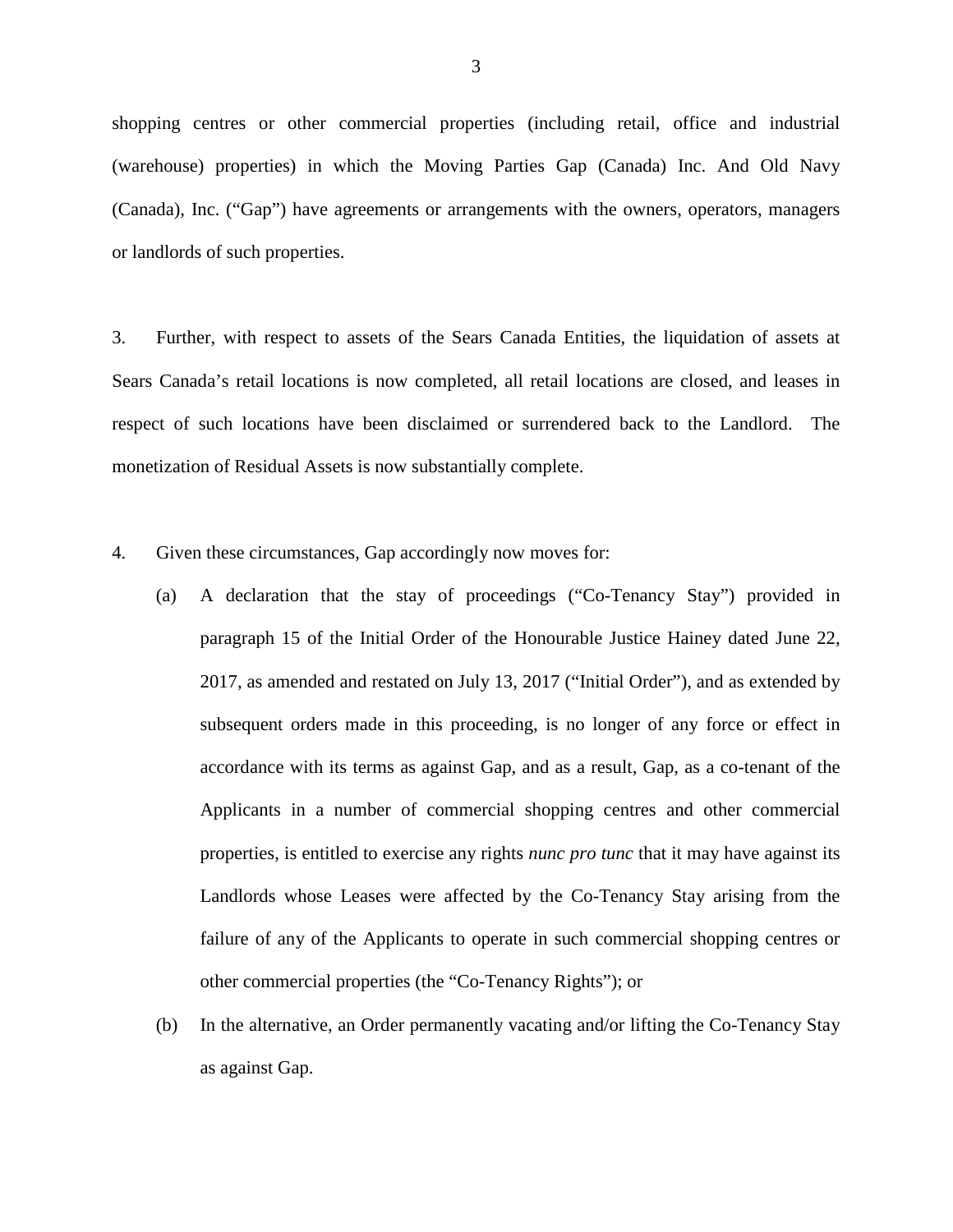shopping centres or other commercial properties (including retail, office and industrial (warehouse) properties) in which the Moving Parties Gap (Canada) Inc. And Old Navy (Canada), Inc. ("Gap") have agreements or arrangements with the owners, operators, managers or landlords of such properties.

3. Further, with respect to assets of the Sears Canada Entities, the liquidation of assets at Sears Canada's retail locations is now completed, all retail locations are closed, and leases in respect of such locations have been disclaimed or surrendered back to the Landlord. The monetization of Residual Assets is now substantially complete.

- 4. Given these circumstances, Gap accordingly now moves for:
	- (a) A declaration that the stay of proceedings ("Co-Tenancy Stay") provided in paragraph 15 of the Initial Order of the Honourable Justice Hainey dated June 22, 2017, as amended and restated on July 13, 2017 ("Initial Order"), and as extended by subsequent orders made in this proceeding, is no longer of any force or effect in accordance with its terms as against Gap, and as a result, Gap, as a co-tenant of the Applicants in a number of commercial shopping centres and other commercial properties, is entitled to exercise any rights *nunc pro tunc* that it may have against its Landlords whose Leases were affected by the Co-Tenancy Stay arising from the failure of any of the Applicants to operate in such commercial shopping centres or other commercial properties (the "Co-Tenancy Rights"); or
	- (b) In the alternative, an Order permanently vacating and/or lifting the Co-Tenancy Stay as against Gap.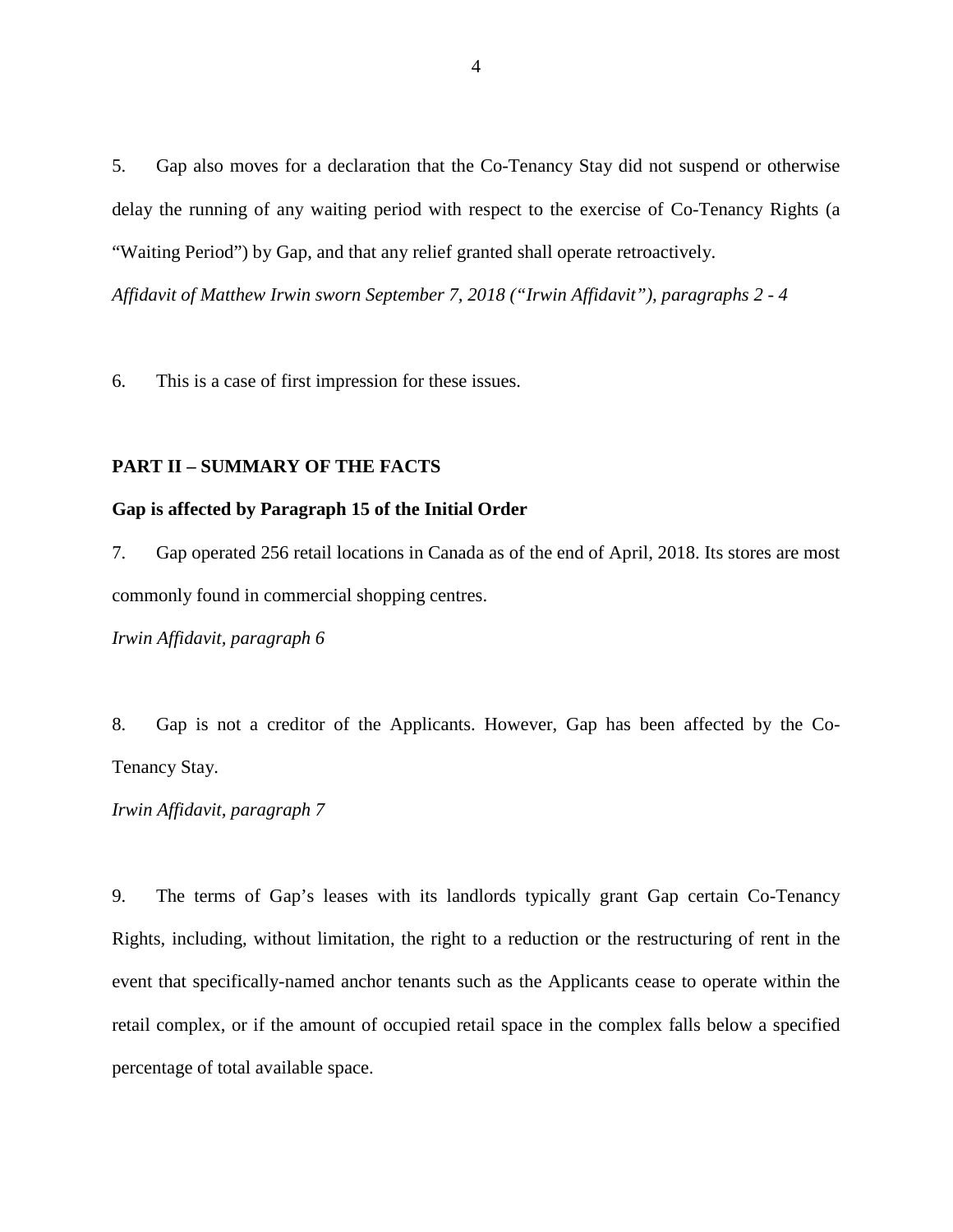5. Gap also moves for a declaration that the Co-Tenancy Stay did not suspend or otherwise delay the running of any waiting period with respect to the exercise of Co-Tenancy Rights (a "Waiting Period") by Gap, and that any relief granted shall operate retroactively.

*Affidavit of Matthew Irwin sworn September 7, 2018 ("Irwin Affidavit"), paragraphs 2 - 4*

6. This is a case of first impression for these issues.

# **PART II – SUMMARY OF THE FACTS**

# **Gap is affected by Paragraph 15 of the Initial Order**

7. Gap operated 256 retail locations in Canada as of the end of April, 2018. Its stores are most commonly found in commercial shopping centres.

*Irwin Affidavit, paragraph 6*

8. Gap is not a creditor of the Applicants. However, Gap has been affected by the Co-Tenancy Stay.

*Irwin Affidavit, paragraph 7*

9. The terms of Gap's leases with its landlords typically grant Gap certain Co-Tenancy Rights, including, without limitation, the right to a reduction or the restructuring of rent in the event that specifically-named anchor tenants such as the Applicants cease to operate within the retail complex, or if the amount of occupied retail space in the complex falls below a specified percentage of total available space.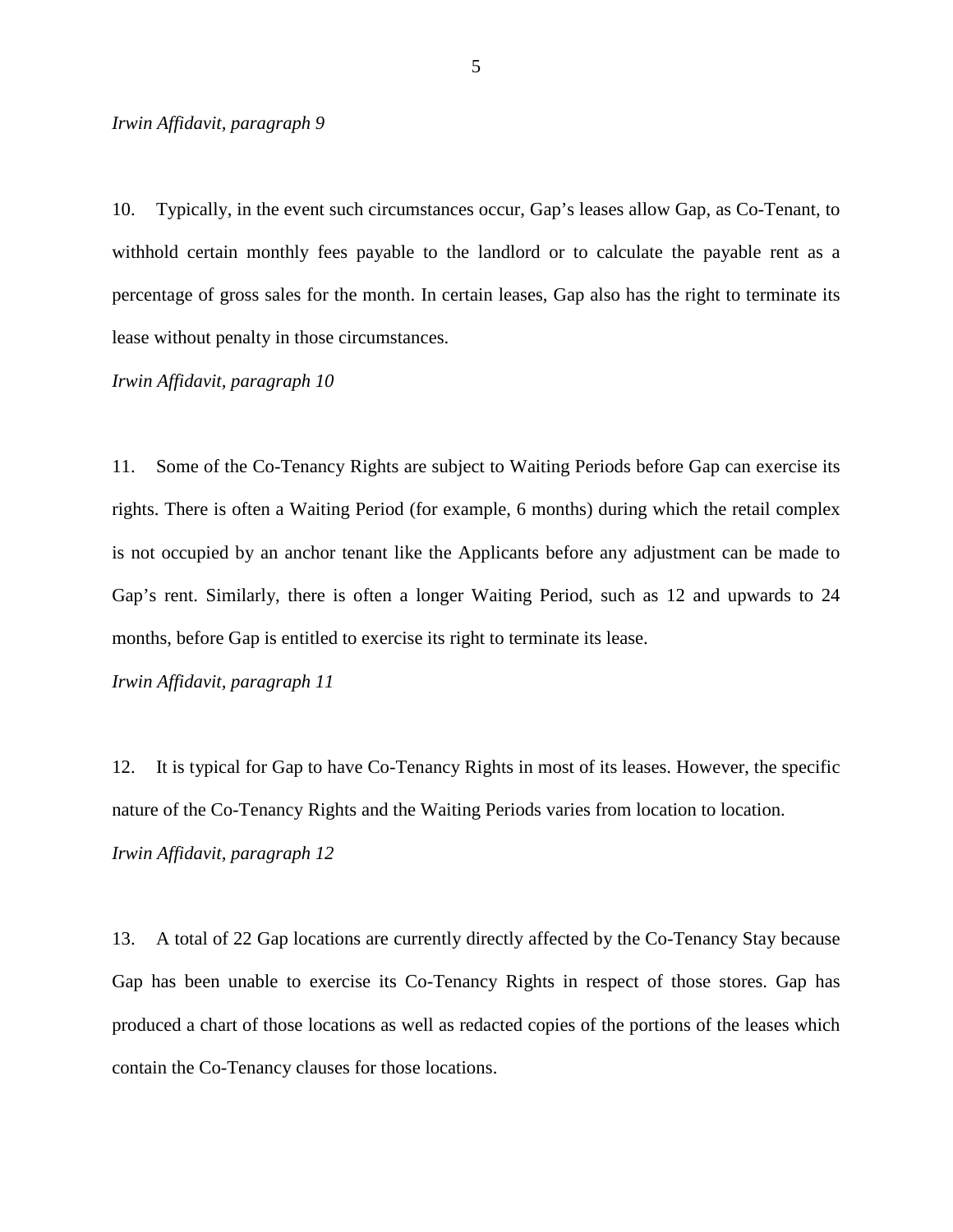## *Irwin Affidavit, paragraph 9*

10. Typically, in the event such circumstances occur, Gap's leases allow Gap, as Co-Tenant, to withhold certain monthly fees payable to the landlord or to calculate the payable rent as a percentage of gross sales for the month. In certain leases, Gap also has the right to terminate its lease without penalty in those circumstances.

*Irwin Affidavit, paragraph 10*

11. Some of the Co-Tenancy Rights are subject to Waiting Periods before Gap can exercise its rights. There is often a Waiting Period (for example, 6 months) during which the retail complex is not occupied by an anchor tenant like the Applicants before any adjustment can be made to Gap's rent. Similarly, there is often a longer Waiting Period, such as 12 and upwards to 24 months, before Gap is entitled to exercise its right to terminate its lease.

*Irwin Affidavit, paragraph 11*

12. It is typical for Gap to have Co-Tenancy Rights in most of its leases. However, the specific nature of the Co-Tenancy Rights and the Waiting Periods varies from location to location. *Irwin Affidavit, paragraph 12*

13. A total of 22 Gap locations are currently directly affected by the Co-Tenancy Stay because Gap has been unable to exercise its Co-Tenancy Rights in respect of those stores. Gap has produced a chart of those locations as well as redacted copies of the portions of the leases which contain the Co-Tenancy clauses for those locations.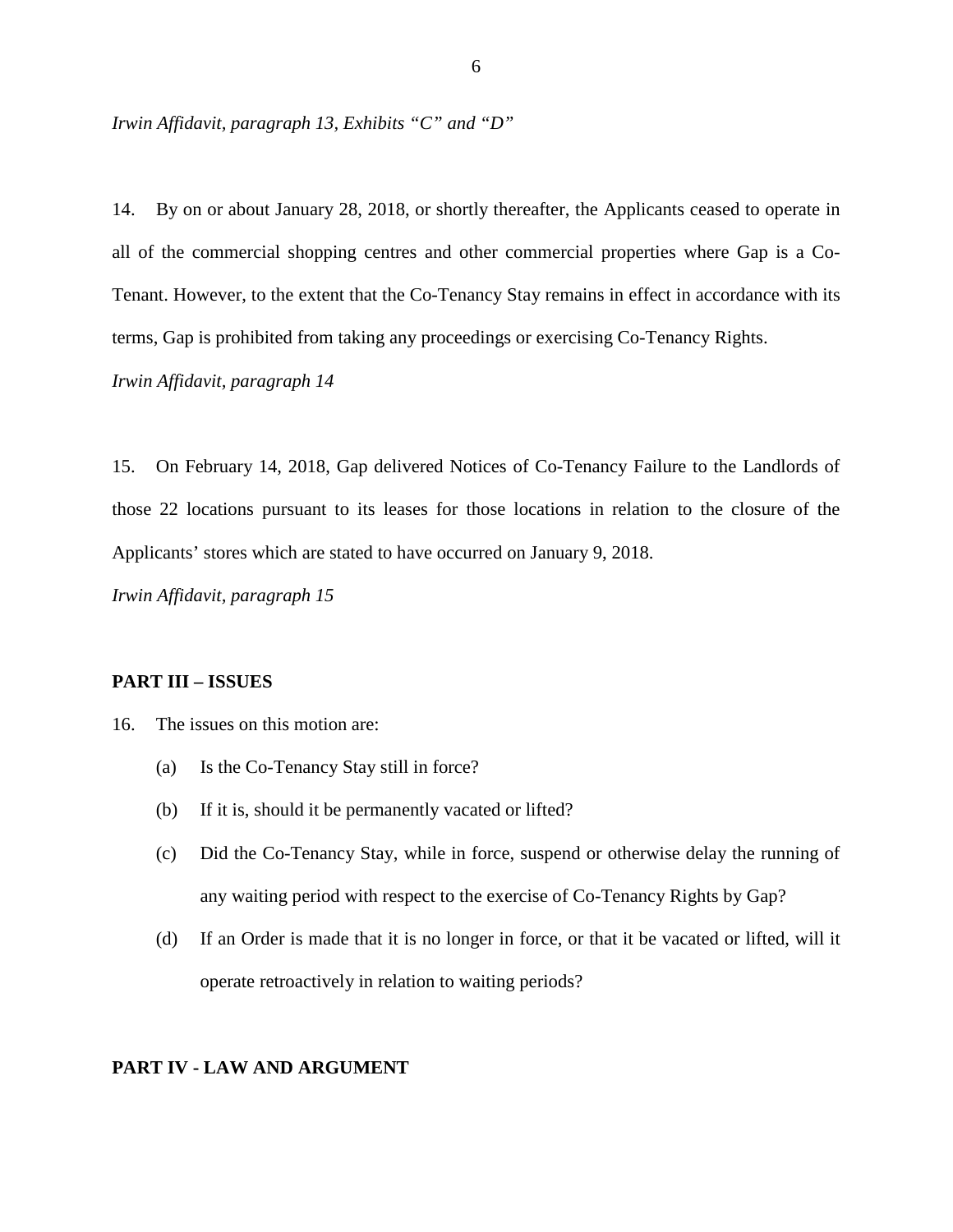*Irwin Affidavit, paragraph 13, Exhibits "C" and "D"*

14. By on or about January 28, 2018, or shortly thereafter, the Applicants ceased to operate in all of the commercial shopping centres and other commercial properties where Gap is a Co-Tenant. However, to the extent that the Co-Tenancy Stay remains in effect in accordance with its terms, Gap is prohibited from taking any proceedings or exercising Co-Tenancy Rights. *Irwin Affidavit, paragraph 14*

15. On February 14, 2018, Gap delivered Notices of Co-Tenancy Failure to the Landlords of those 22 locations pursuant to its leases for those locations in relation to the closure of the Applicants' stores which are stated to have occurred on January 9, 2018.

*Irwin Affidavit, paragraph 15*

## **PART III – ISSUES**

- 16. The issues on this motion are:
	- (a) Is the Co-Tenancy Stay still in force?
	- (b) If it is, should it be permanently vacated or lifted?
	- (c) Did the Co-Tenancy Stay, while in force, suspend or otherwise delay the running of any waiting period with respect to the exercise of Co-Tenancy Rights by Gap?
	- (d) If an Order is made that it is no longer in force, or that it be vacated or lifted, will it operate retroactively in relation to waiting periods?

## **PART IV - LAW AND ARGUMENT**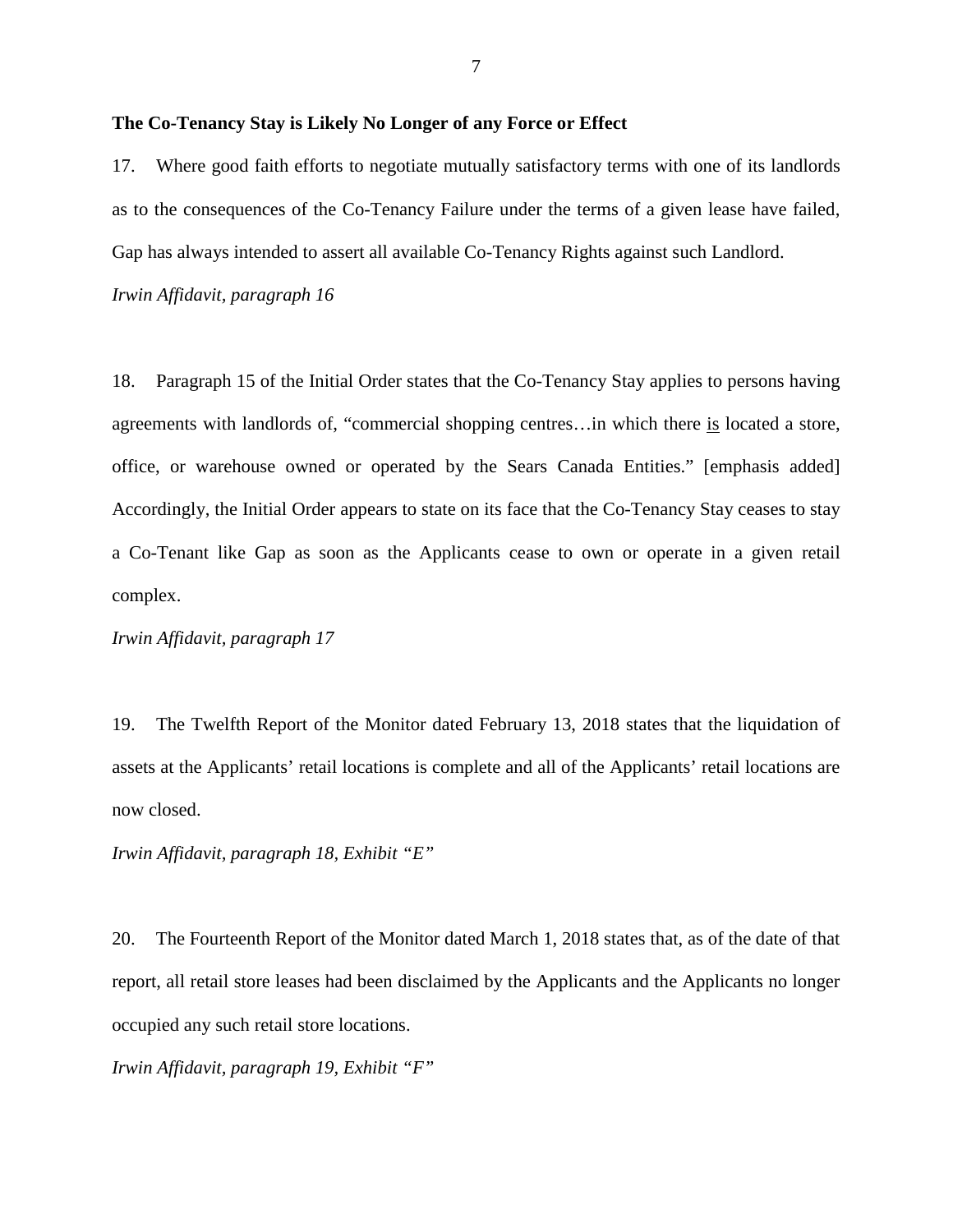## **The Co-Tenancy Stay is Likely No Longer of any Force or Effect**

17. Where good faith efforts to negotiate mutually satisfactory terms with one of its landlords as to the consequences of the Co-Tenancy Failure under the terms of a given lease have failed, Gap has always intended to assert all available Co-Tenancy Rights against such Landlord.

*Irwin Affidavit, paragraph 16*

18. Paragraph 15 of the Initial Order states that the Co-Tenancy Stay applies to persons having agreements with landlords of, "commercial shopping centres…in which there is located a store, office, or warehouse owned or operated by the Sears Canada Entities." [emphasis added] Accordingly, the Initial Order appears to state on its face that the Co-Tenancy Stay ceases to stay a Co-Tenant like Gap as soon as the Applicants cease to own or operate in a given retail complex.

*Irwin Affidavit, paragraph 17*

19. The Twelfth Report of the Monitor dated February 13, 2018 states that the liquidation of assets at the Applicants' retail locations is complete and all of the Applicants' retail locations are now closed.

*Irwin Affidavit, paragraph 18, Exhibit "E"*

20. The Fourteenth Report of the Monitor dated March 1, 2018 states that, as of the date of that report, all retail store leases had been disclaimed by the Applicants and the Applicants no longer occupied any such retail store locations.

*Irwin Affidavit, paragraph 19, Exhibit "F"*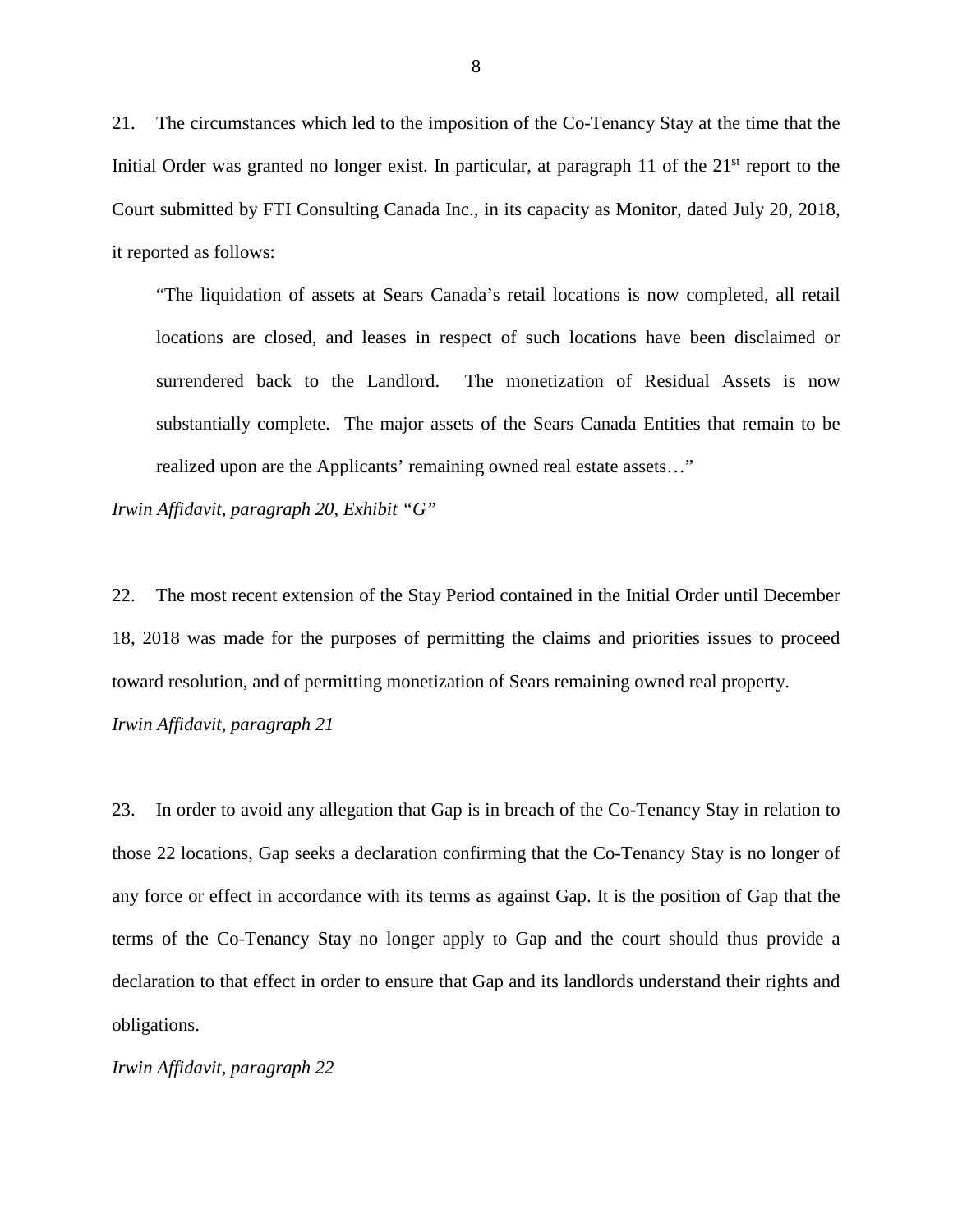21. The circumstances which led to the imposition of the Co-Tenancy Stay at the time that the Initial Order was granted no longer exist. In particular, at paragraph 11 of the  $21<sup>st</sup>$  report to the Court submitted by FTI Consulting Canada Inc., in its capacity as Monitor, dated July 20, 2018, it reported as follows:

"The liquidation of assets at Sears Canada's retail locations is now completed, all retail locations are closed, and leases in respect of such locations have been disclaimed or surrendered back to the Landlord. The monetization of Residual Assets is now substantially complete. The major assets of the Sears Canada Entities that remain to be realized upon are the Applicants' remaining owned real estate assets…"

*Irwin Affidavit, paragraph 20, Exhibit "G"*

22. The most recent extension of the Stay Period contained in the Initial Order until December 18, 2018 was made for the purposes of permitting the claims and priorities issues to proceed toward resolution, and of permitting monetization of Sears remaining owned real property. *Irwin Affidavit, paragraph 21*

23. In order to avoid any allegation that Gap is in breach of the Co-Tenancy Stay in relation to those 22 locations, Gap seeks a declaration confirming that the Co-Tenancy Stay is no longer of any force or effect in accordance with its terms as against Gap. It is the position of Gap that the terms of the Co-Tenancy Stay no longer apply to Gap and the court should thus provide a declaration to that effect in order to ensure that Gap and its landlords understand their rights and obligations.

*Irwin Affidavit, paragraph 22*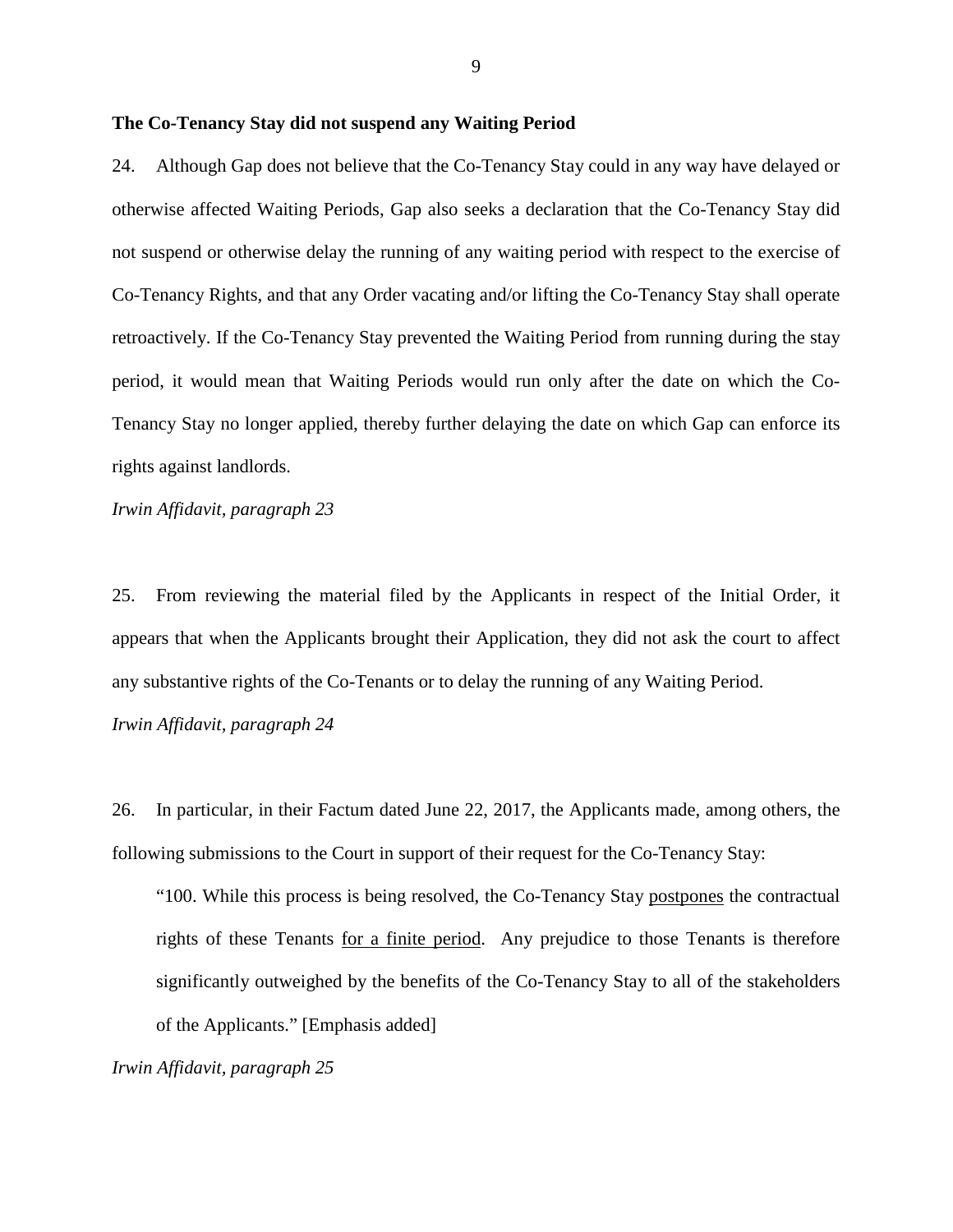# **The Co-Tenancy Stay did not suspend any Waiting Period**

24. Although Gap does not believe that the Co-Tenancy Stay could in any way have delayed or otherwise affected Waiting Periods, Gap also seeks a declaration that the Co-Tenancy Stay did not suspend or otherwise delay the running of any waiting period with respect to the exercise of Co-Tenancy Rights, and that any Order vacating and/or lifting the Co-Tenancy Stay shall operate retroactively. If the Co-Tenancy Stay prevented the Waiting Period from running during the stay period, it would mean that Waiting Periods would run only after the date on which the Co-Tenancy Stay no longer applied, thereby further delaying the date on which Gap can enforce its rights against landlords.

*Irwin Affidavit, paragraph 23*

25. From reviewing the material filed by the Applicants in respect of the Initial Order, it appears that when the Applicants brought their Application, they did not ask the court to affect any substantive rights of the Co-Tenants or to delay the running of any Waiting Period.

*Irwin Affidavit, paragraph 24*

26. In particular, in their Factum dated June 22, 2017, the Applicants made, among others, the following submissions to the Court in support of their request for the Co-Tenancy Stay:

"100. While this process is being resolved, the Co-Tenancy Stay postpones the contractual rights of these Tenants for a finite period. Any prejudice to those Tenants is therefore significantly outweighed by the benefits of the Co-Tenancy Stay to all of the stakeholders of the Applicants." [Emphasis added]

*Irwin Affidavit, paragraph 25*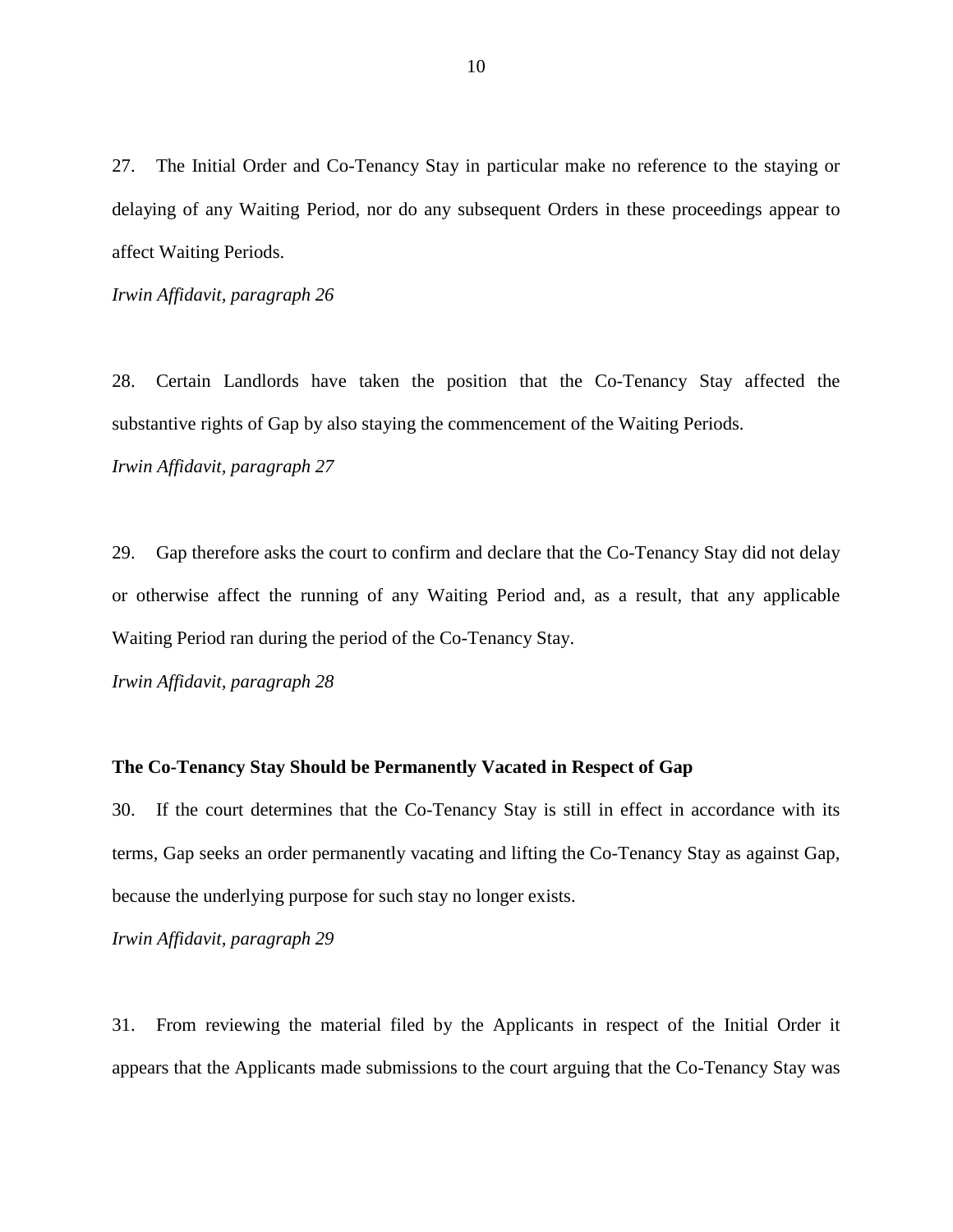27. The Initial Order and Co-Tenancy Stay in particular make no reference to the staying or delaying of any Waiting Period, nor do any subsequent Orders in these proceedings appear to affect Waiting Periods.

*Irwin Affidavit, paragraph 26*

28. Certain Landlords have taken the position that the Co-Tenancy Stay affected the substantive rights of Gap by also staying the commencement of the Waiting Periods. *Irwin Affidavit, paragraph 27*

29. Gap therefore asks the court to confirm and declare that the Co-Tenancy Stay did not delay or otherwise affect the running of any Waiting Period and, as a result, that any applicable Waiting Period ran during the period of the Co-Tenancy Stay.

*Irwin Affidavit, paragraph 28*

### **The Co-Tenancy Stay Should be Permanently Vacated in Respect of Gap**

30. If the court determines that the Co-Tenancy Stay is still in effect in accordance with its terms, Gap seeks an order permanently vacating and lifting the Co-Tenancy Stay as against Gap, because the underlying purpose for such stay no longer exists.

*Irwin Affidavit, paragraph 29*

31. From reviewing the material filed by the Applicants in respect of the Initial Order it appears that the Applicants made submissions to the court arguing that the Co-Tenancy Stay was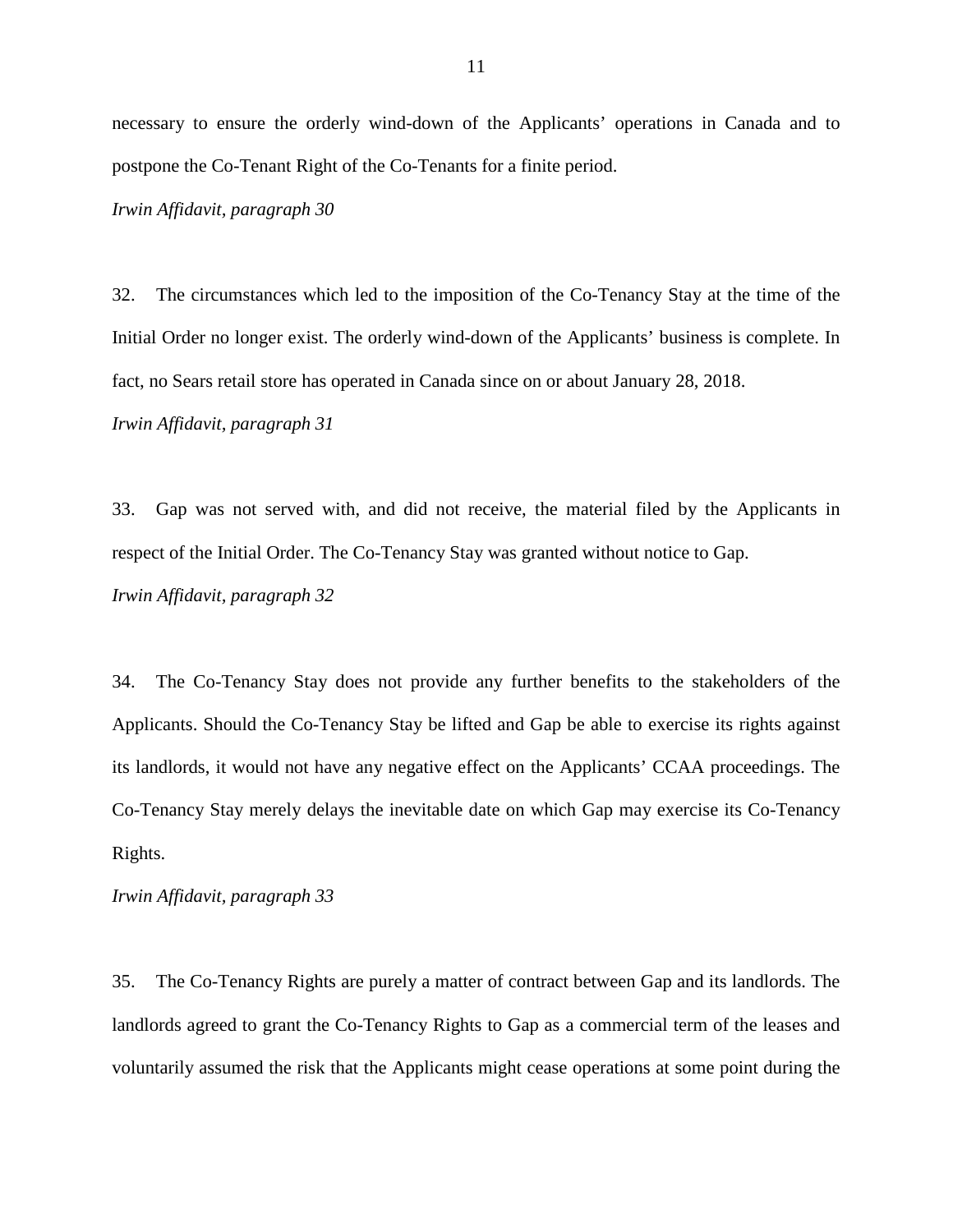necessary to ensure the orderly wind-down of the Applicants' operations in Canada and to postpone the Co-Tenant Right of the Co-Tenants for a finite period.

*Irwin Affidavit, paragraph 30*

32. The circumstances which led to the imposition of the Co-Tenancy Stay at the time of the Initial Order no longer exist. The orderly wind-down of the Applicants' business is complete. In fact, no Sears retail store has operated in Canada since on or about January 28, 2018. *Irwin Affidavit, paragraph 31*

33. Gap was not served with, and did not receive, the material filed by the Applicants in respect of the Initial Order. The Co-Tenancy Stay was granted without notice to Gap. *Irwin Affidavit, paragraph 32*

34. The Co-Tenancy Stay does not provide any further benefits to the stakeholders of the Applicants. Should the Co-Tenancy Stay be lifted and Gap be able to exercise its rights against its landlords, it would not have any negative effect on the Applicants' CCAA proceedings. The Co-Tenancy Stay merely delays the inevitable date on which Gap may exercise its Co-Tenancy Rights.

*Irwin Affidavit, paragraph 33*

35. The Co-Tenancy Rights are purely a matter of contract between Gap and its landlords. The landlords agreed to grant the Co-Tenancy Rights to Gap as a commercial term of the leases and voluntarily assumed the risk that the Applicants might cease operations at some point during the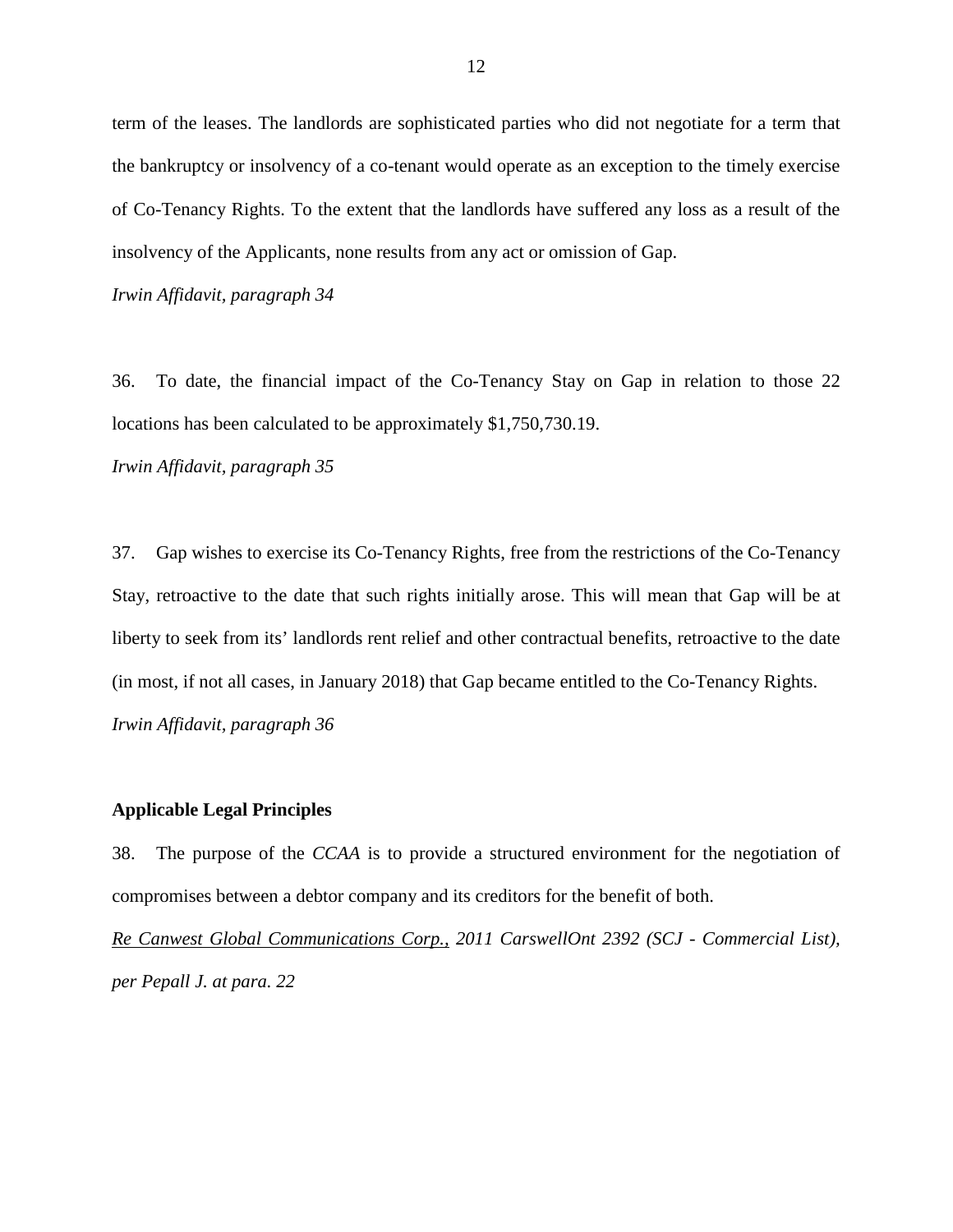term of the leases. The landlords are sophisticated parties who did not negotiate for a term that the bankruptcy or insolvency of a co-tenant would operate as an exception to the timely exercise of Co-Tenancy Rights. To the extent that the landlords have suffered any loss as a result of the insolvency of the Applicants, none results from any act or omission of Gap.

*Irwin Affidavit, paragraph 34*

36. To date, the financial impact of the Co-Tenancy Stay on Gap in relation to those 22 locations has been calculated to be approximately \$1,750,730.19.

*Irwin Affidavit, paragraph 35*

37. Gap wishes to exercise its Co-Tenancy Rights, free from the restrictions of the Co-Tenancy Stay, retroactive to the date that such rights initially arose. This will mean that Gap will be at liberty to seek from its' landlords rent relief and other contractual benefits, retroactive to the date (in most, if not all cases, in January 2018) that Gap became entitled to the Co-Tenancy Rights. *Irwin Affidavit, paragraph 36*

# **Applicable Legal Principles**

38. The purpose of the *CCAA* is to provide a structured environment for the negotiation of compromises between a debtor company and its creditors for the benefit of both.

*Re Canwest Global Communications Corp., 2011 CarswellOnt 2392 (SCJ - Commercial List), per Pepall J. at para. 22*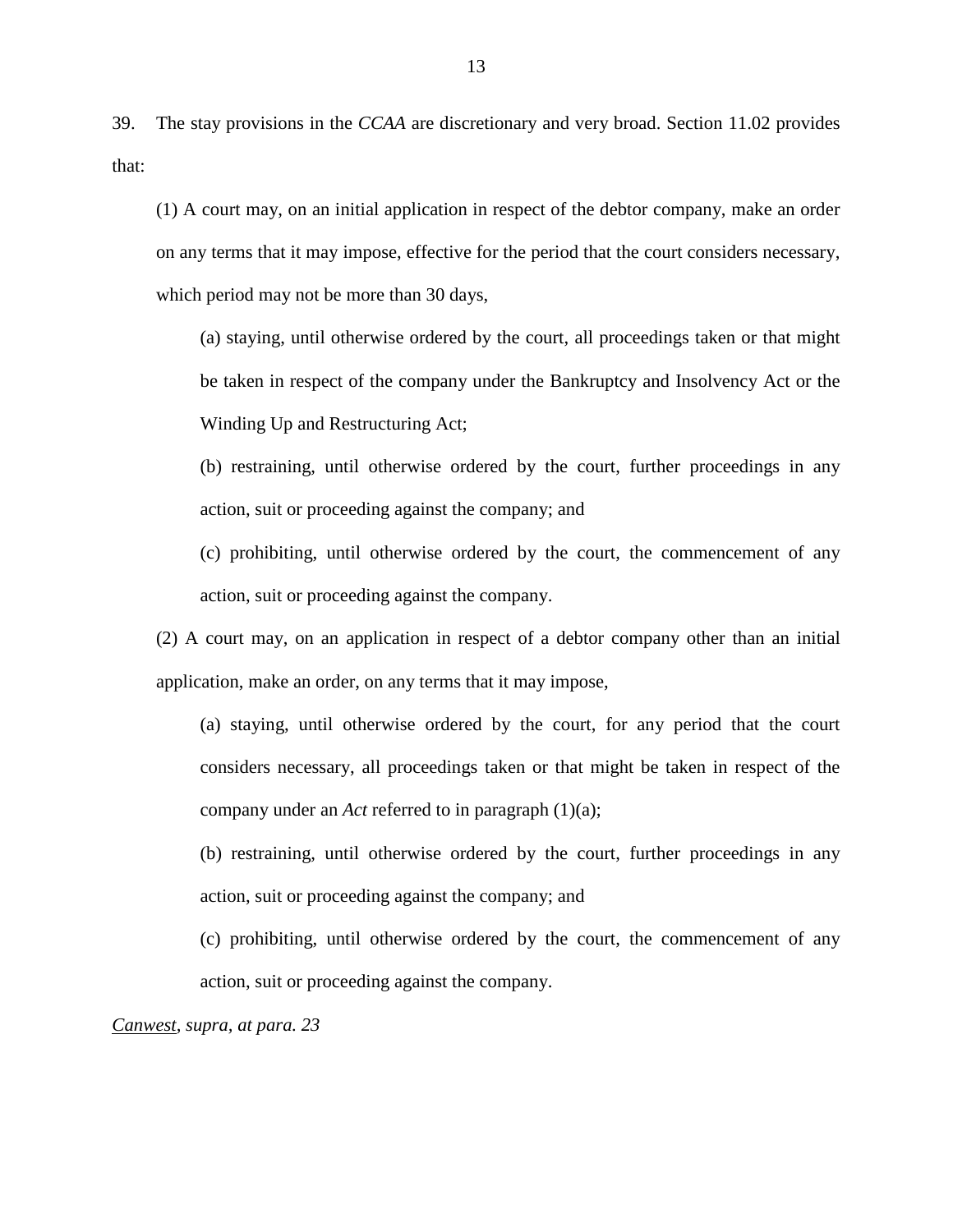39. The stay provisions in the *CCAA* are discretionary and very broad. Section 11.02 provides that:

(1) A court may, on an initial application in respect of the debtor company, make an order on any terms that it may impose, effective for the period that the court considers necessary, which period may not be more than 30 days,

(a) staying, until otherwise ordered by the court, all proceedings taken or that might be taken in respect of the company under the Bankruptcy and Insolvency Act or the Winding Up and Restructuring Act;

(b) restraining, until otherwise ordered by the court, further proceedings in any action, suit or proceeding against the company; and

(c) prohibiting, until otherwise ordered by the court, the commencement of any action, suit or proceeding against the company.

(2) A court may, on an application in respect of a debtor company other than an initial application, make an order, on any terms that it may impose,

(a) staying, until otherwise ordered by the court, for any period that the court considers necessary, all proceedings taken or that might be taken in respect of the company under an *Act* referred to in paragraph (1)(a);

(b) restraining, until otherwise ordered by the court, further proceedings in any action, suit or proceeding against the company; and

(c) prohibiting, until otherwise ordered by the court, the commencement of any action, suit or proceeding against the company.

*Canwest, supra, at para. 23*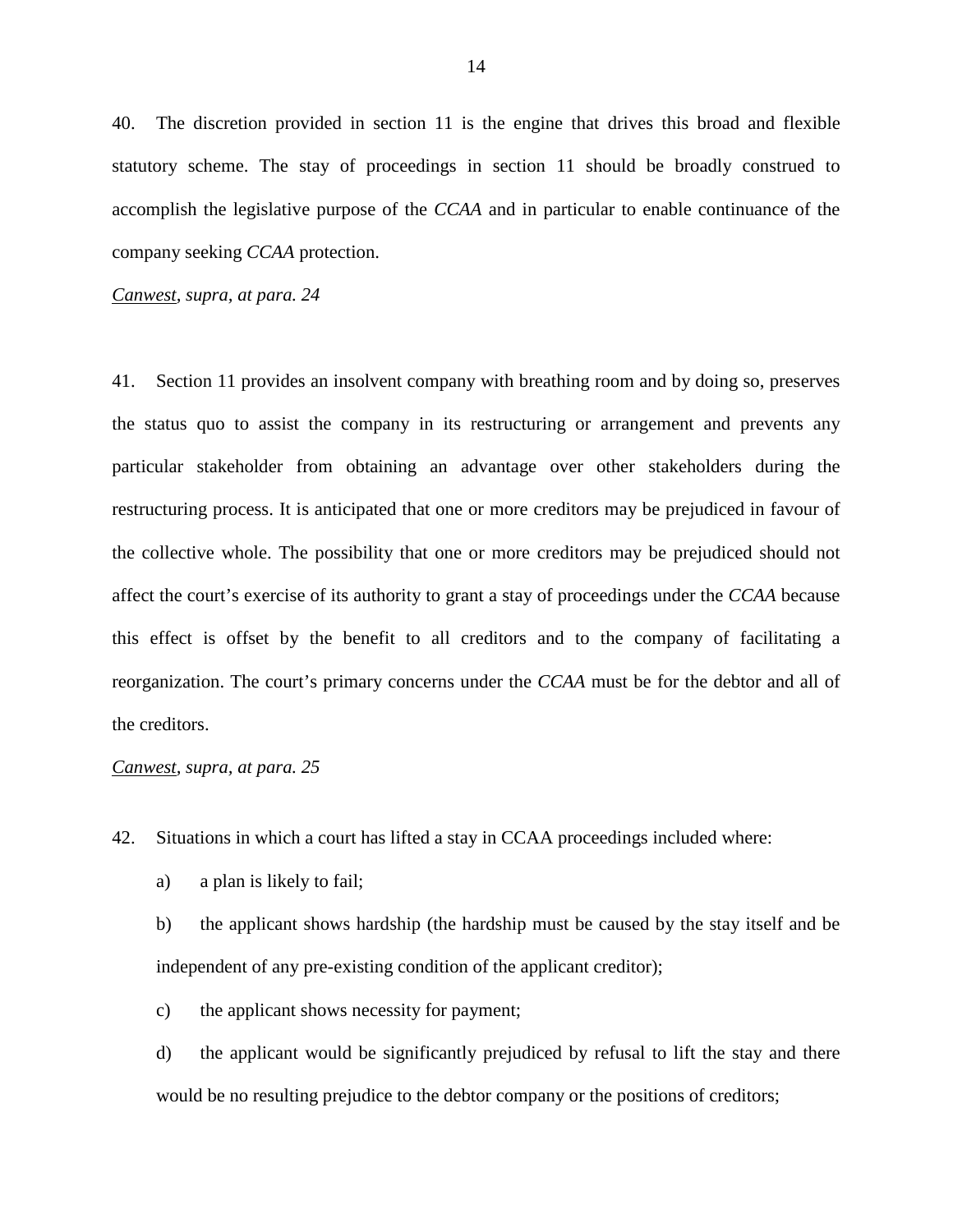40. The discretion provided in section 11 is the engine that drives this broad and flexible statutory scheme. The stay of proceedings in section 11 should be broadly construed to accomplish the legislative purpose of the *CCAA* and in particular to enable continuance of the company seeking *CCAA* protection.

*Canwest, supra, at para. 24*

41. Section 11 provides an insolvent company with breathing room and by doing so, preserves the status quo to assist the company in its restructuring or arrangement and prevents any particular stakeholder from obtaining an advantage over other stakeholders during the restructuring process. It is anticipated that one or more creditors may be prejudiced in favour of the collective whole. The possibility that one or more creditors may be prejudiced should not affect the court's exercise of its authority to grant a stay of proceedings under the *CCAA* because this effect is offset by the benefit to all creditors and to the company of facilitating a reorganization. The court's primary concerns under the *CCAA* must be for the debtor and all of the creditors.

# *Canwest, supra, at para. 25*

42. Situations in which a court has lifted a stay in CCAA proceedings included where:

a) a plan is likely to fail;

b) the applicant shows hardship (the hardship must be caused by the stay itself and be independent of any pre-existing condition of the applicant creditor);

c) the applicant shows necessity for payment;

d) the applicant would be significantly prejudiced by refusal to lift the stay and there would be no resulting prejudice to the debtor company or the positions of creditors;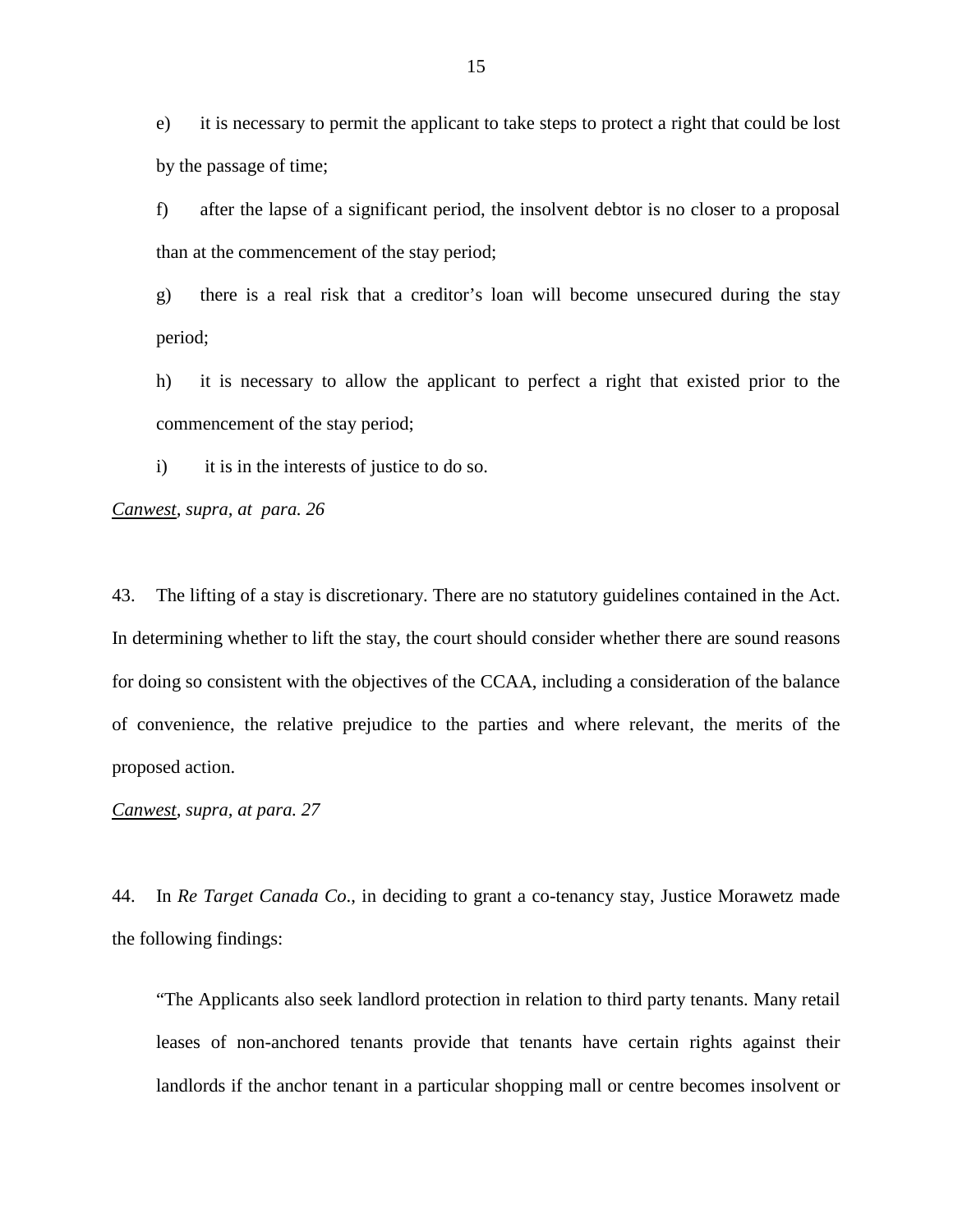e) it is necessary to permit the applicant to take steps to protect a right that could be lost by the passage of time;

f) after the lapse of a significant period, the insolvent debtor is no closer to a proposal than at the commencement of the stay period;

g) there is a real risk that a creditor's loan will become unsecured during the stay period;

h) it is necessary to allow the applicant to perfect a right that existed prior to the commencement of the stay period;

i) it is in the interests of justice to do so.

*Canwest, supra, at para. 26*

43. The lifting of a stay is discretionary. There are no statutory guidelines contained in the Act. In determining whether to lift the stay, the court should consider whether there are sound reasons for doing so consistent with the objectives of the CCAA, including a consideration of the balance of convenience, the relative prejudice to the parties and where relevant, the merits of the proposed action.

*Canwest, supra, at para. 27*

44. In *Re Target Canada Co*., in deciding to grant a co-tenancy stay, Justice Morawetz made the following findings:

"The Applicants also seek landlord protection in relation to third party tenants. Many retail leases of non-anchored tenants provide that tenants have certain rights against their landlords if the anchor tenant in a particular shopping mall or centre becomes insolvent or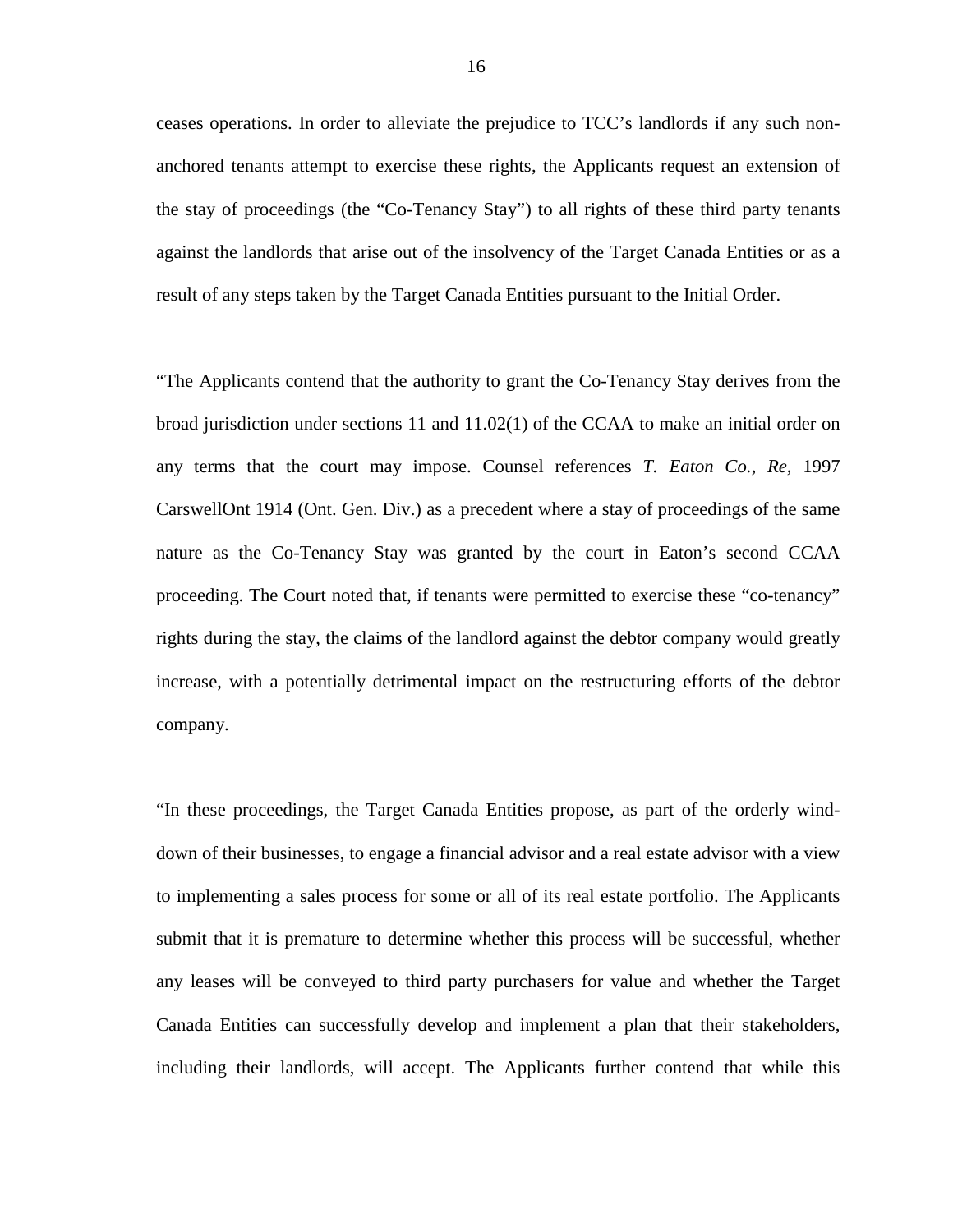ceases operations. In order to alleviate the prejudice to TCC's landlords if any such nonanchored tenants attempt to exercise these rights, the Applicants request an extension of the stay of proceedings (the "Co-Tenancy Stay") to all rights of these third party tenants against the landlords that arise out of the insolvency of the Target Canada Entities or as a result of any steps taken by the Target Canada Entities pursuant to the Initial Order.

"The Applicants contend that the authority to grant the Co-Tenancy Stay derives from the broad jurisdiction under sections 11 and 11.02(1) of the CCAA to make an initial order on any terms that the court may impose. Counsel references *T. Eaton Co., Re*[, 1997](http://nextcanada.westlaw.com/Link/Document/FullText?findType=Y&pubNum=6407&serNum=1997413283&originationContext=document&transitionType=DocumentItem&vr=3.0&rs=cblt1.0&contextData=(sc.History*oc.Search))  [CarswellOnt 1914](http://nextcanada.westlaw.com/Link/Document/FullText?findType=Y&pubNum=6407&serNum=1997413283&originationContext=document&transitionType=DocumentItem&vr=3.0&rs=cblt1.0&contextData=(sc.History*oc.Search)) (Ont. Gen. Div.) as a precedent where a stay of proceedings of the same nature as the Co-Tenancy Stay was granted by the court in Eaton's second CCAA proceeding. The Court noted that, if tenants were permitted to exercise these "co-tenancy" rights during the stay, the claims of the landlord against the debtor company would greatly increase, with a potentially detrimental impact on the restructuring efforts of the debtor company.

"In these proceedings, the Target Canada Entities propose, as part of the orderly winddown of their businesses, to engage a financial advisor and a real estate advisor with a view to implementing a sales process for some or all of its real estate portfolio. The Applicants submit that it is premature to determine whether this process will be successful, whether any leases will be conveyed to third party purchasers for value and whether the Target Canada Entities can successfully develop and implement a plan that their stakeholders, including their landlords, will accept. The Applicants further contend that while this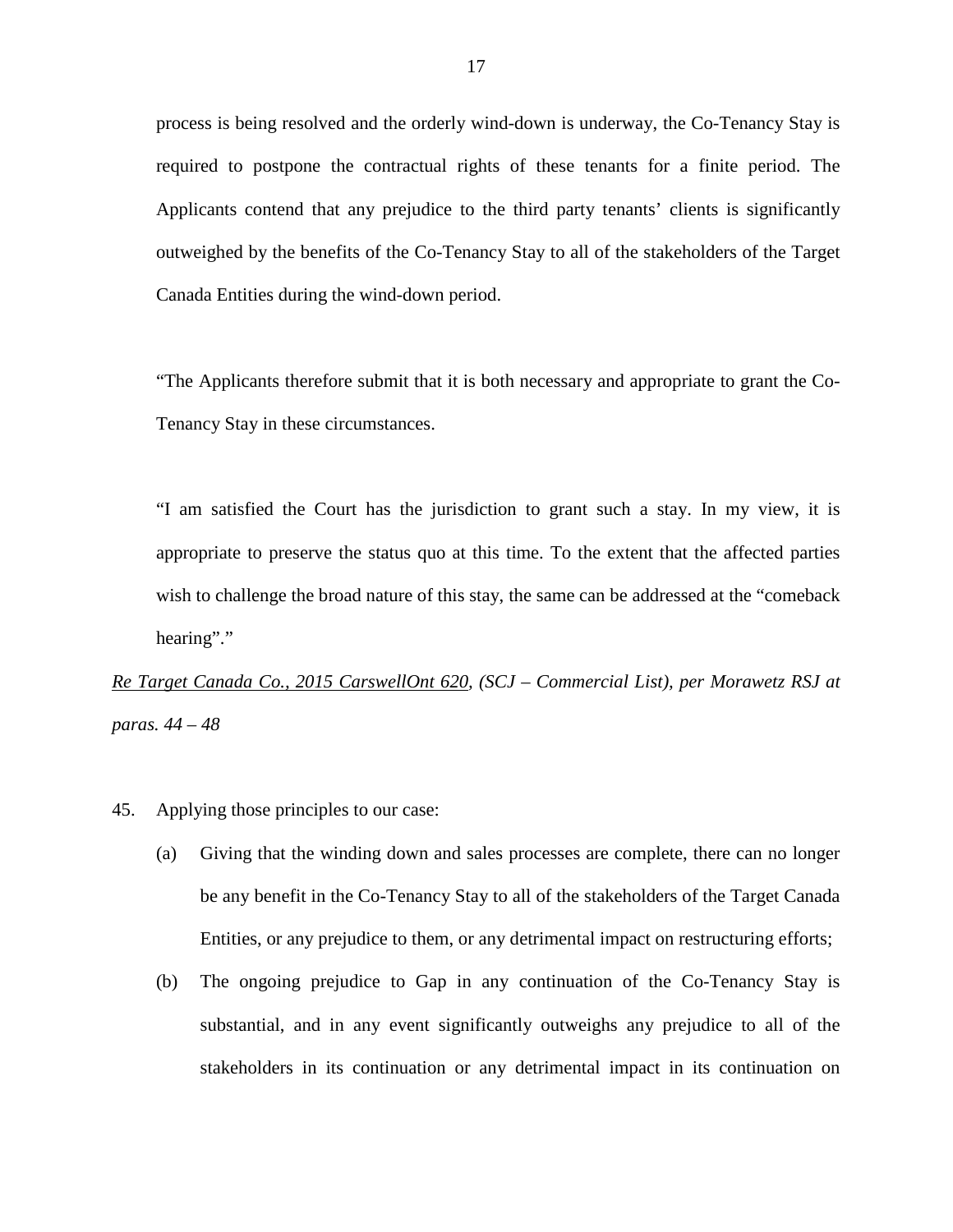process is being resolved and the orderly wind-down is underway, the Co-Tenancy Stay is required to postpone the contractual rights of these tenants for a finite period. The Applicants contend that any prejudice to the third party tenants' clients is significantly outweighed by the benefits of the Co-Tenancy Stay to all of the stakeholders of the Target Canada Entities during the wind-down period.

"The Applicants therefore submit that it is both necessary and appropriate to grant the Co-Tenancy Stay in these circumstances.

"I am satisfied the Court has the jurisdiction to grant such a stay. In my view, it is appropriate to preserve the status quo at this time. To the extent that the affected parties wish to challenge the broad nature of this stay, the same can be addressed at the "comeback hearing"."

*Re Target Canada Co., 2015 CarswellOnt 620, (SCJ – Commercial List), per Morawetz RSJ at paras. 44 – 48*

- 45. Applying those principles to our case:
	- (a) Giving that the winding down and sales processes are complete, there can no longer be any benefit in the Co-Tenancy Stay to all of the stakeholders of the Target Canada Entities, or any prejudice to them, or any detrimental impact on restructuring efforts;
	- (b) The ongoing prejudice to Gap in any continuation of the Co-Tenancy Stay is substantial, and in any event significantly outweighs any prejudice to all of the stakeholders in its continuation or any detrimental impact in its continuation on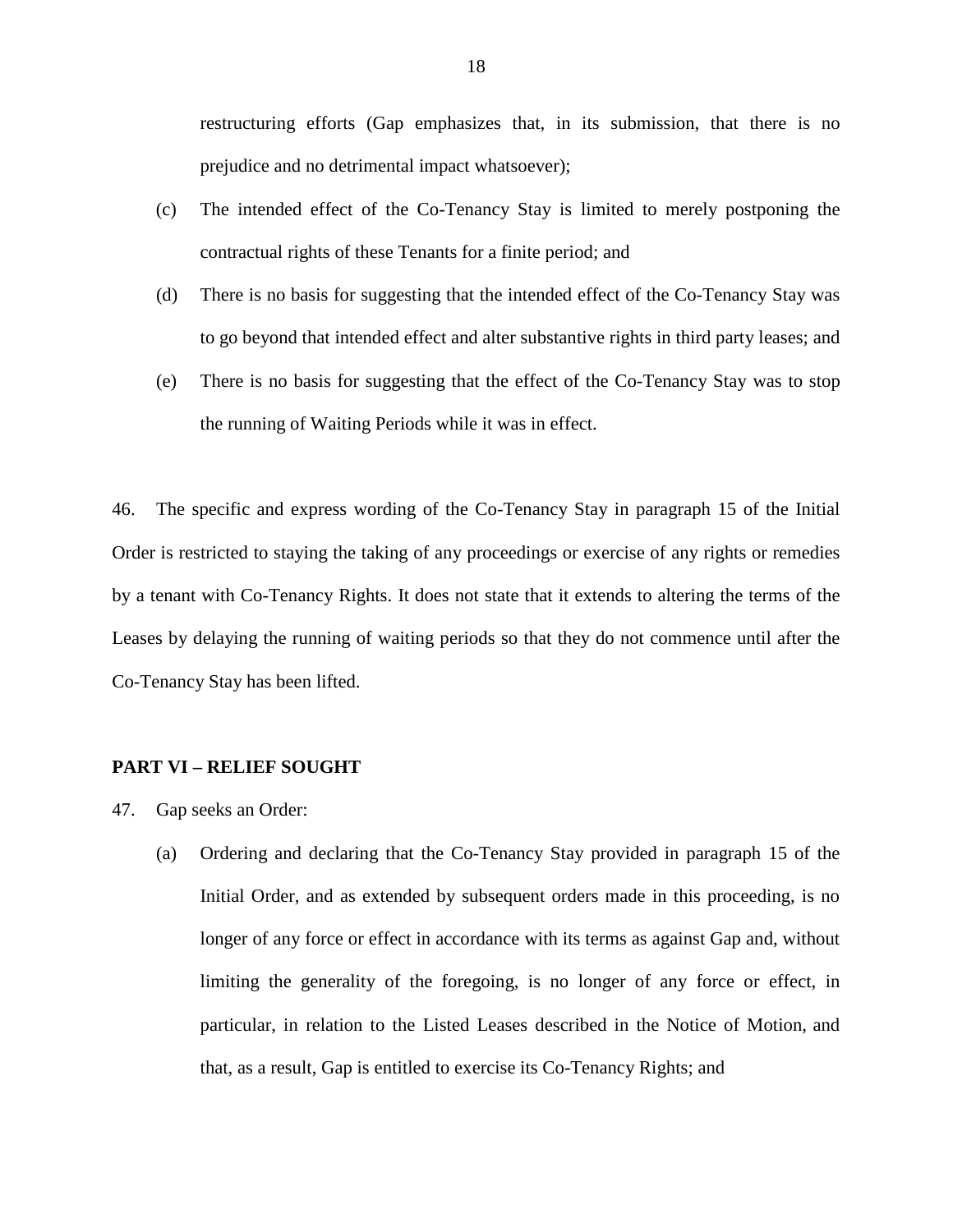restructuring efforts (Gap emphasizes that, in its submission, that there is no prejudice and no detrimental impact whatsoever);

- (c) The intended effect of the Co-Tenancy Stay is limited to merely postponing the contractual rights of these Tenants for a finite period; and
- (d) There is no basis for suggesting that the intended effect of the Co-Tenancy Stay was to go beyond that intended effect and alter substantive rights in third party leases; and
- (e) There is no basis for suggesting that the effect of the Co-Tenancy Stay was to stop the running of Waiting Periods while it was in effect.

46. The specific and express wording of the Co-Tenancy Stay in paragraph 15 of the Initial Order is restricted to staying the taking of any proceedings or exercise of any rights or remedies by a tenant with Co-Tenancy Rights. It does not state that it extends to altering the terms of the Leases by delaying the running of waiting periods so that they do not commence until after the Co-Tenancy Stay has been lifted.

### **PART VI – RELIEF SOUGHT**

- 47. Gap seeks an Order:
	- (a) Ordering and declaring that the Co-Tenancy Stay provided in paragraph 15 of the Initial Order, and as extended by subsequent orders made in this proceeding, is no longer of any force or effect in accordance with its terms as against Gap and, without limiting the generality of the foregoing, is no longer of any force or effect, in particular, in relation to the Listed Leases described in the Notice of Motion, and that, as a result, Gap is entitled to exercise its Co-Tenancy Rights; and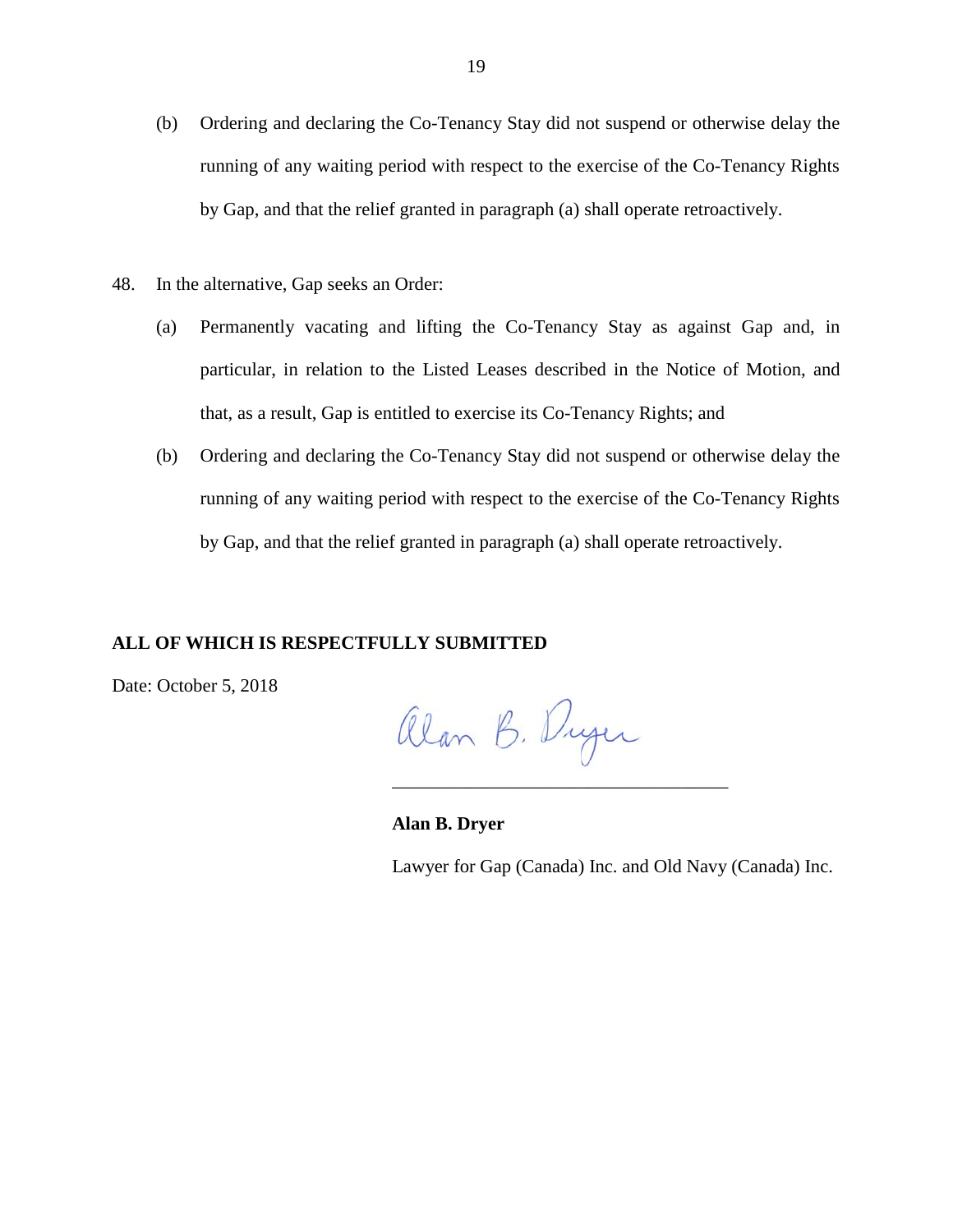- (b) Ordering and declaring the Co-Tenancy Stay did not suspend or otherwise delay the running of any waiting period with respect to the exercise of the Co-Tenancy Rights by Gap, and that the relief granted in paragraph (a) shall operate retroactively.
- 48. In the alternative, Gap seeks an Order:
	- (a) Permanently vacating and lifting the Co-Tenancy Stay as against Gap and, in particular, in relation to the Listed Leases described in the Notice of Motion, and that, as a result, Gap is entitled to exercise its Co-Tenancy Rights; and
	- (b) Ordering and declaring the Co-Tenancy Stay did not suspend or otherwise delay the running of any waiting period with respect to the exercise of the Co-Tenancy Rights by Gap, and that the relief granted in paragraph (a) shall operate retroactively.

# **ALL OF WHICH IS RESPECTFULLY SUBMITTED**

Date: October 5, 2018

Alan B. Duger

\_\_\_\_\_\_\_\_\_\_\_\_\_\_\_\_\_\_\_\_\_\_\_\_\_\_\_\_\_\_\_\_\_\_\_\_

**Alan B. Dryer**

Lawyer for Gap (Canada) Inc. and Old Navy (Canada) Inc.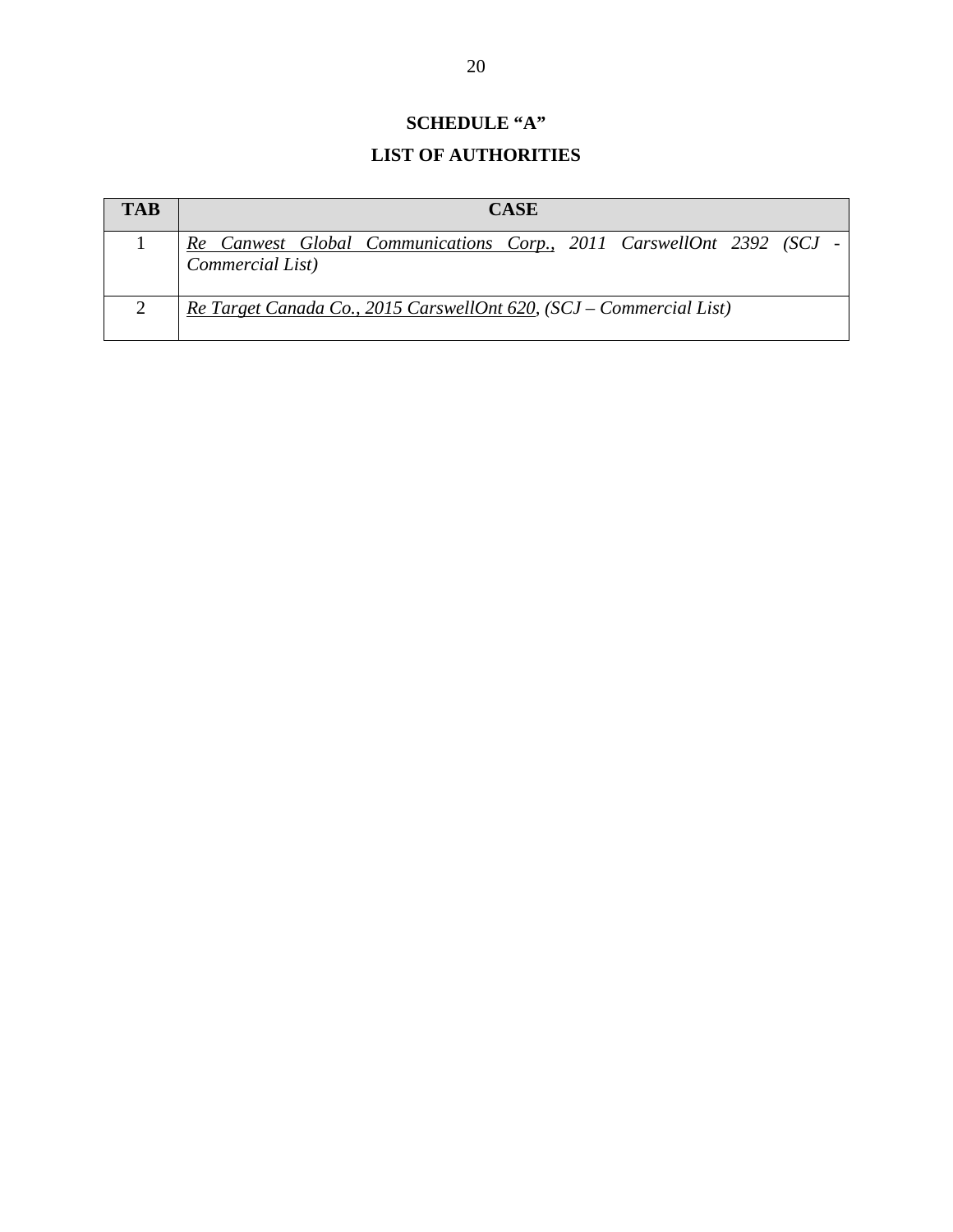# **SCHEDULE "A" LIST OF AUTHORITIES**

| <b>TAB</b> | <b>CASE</b>                                                                              |
|------------|------------------------------------------------------------------------------------------|
|            | Re Canwest Global Communications Corp., 2011 CarswellOnt 2392 (SCJ -<br>Commercial List) |
|            | Re Target Canada Co., 2015 CarswellOnt 620, (SCJ – Commercial List)                      |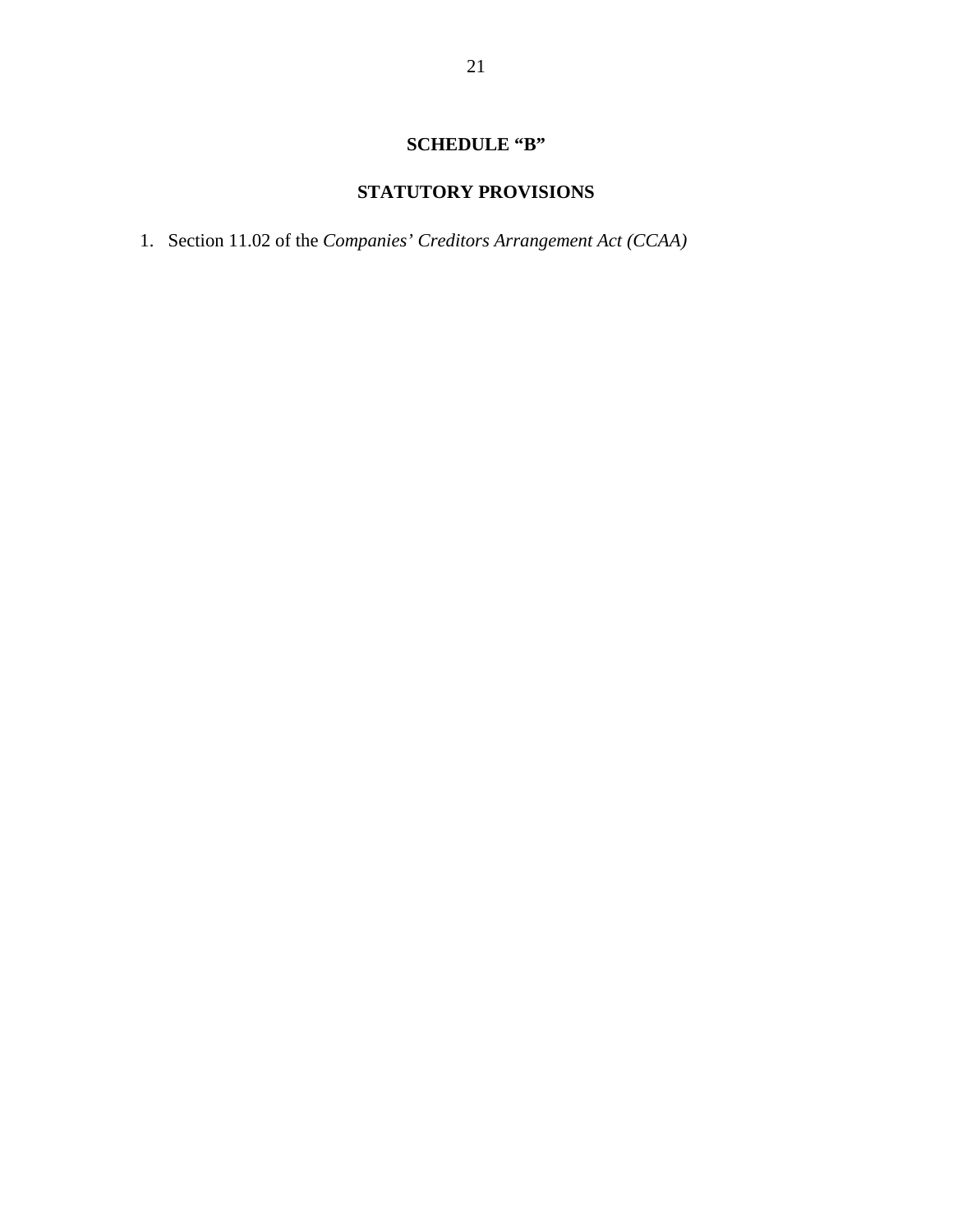# **SCHEDULE "B"**

# **STATUTORY PROVISIONS**

1. Section 11.02 of the *Companies' Creditors Arrangement Act (CCAA)*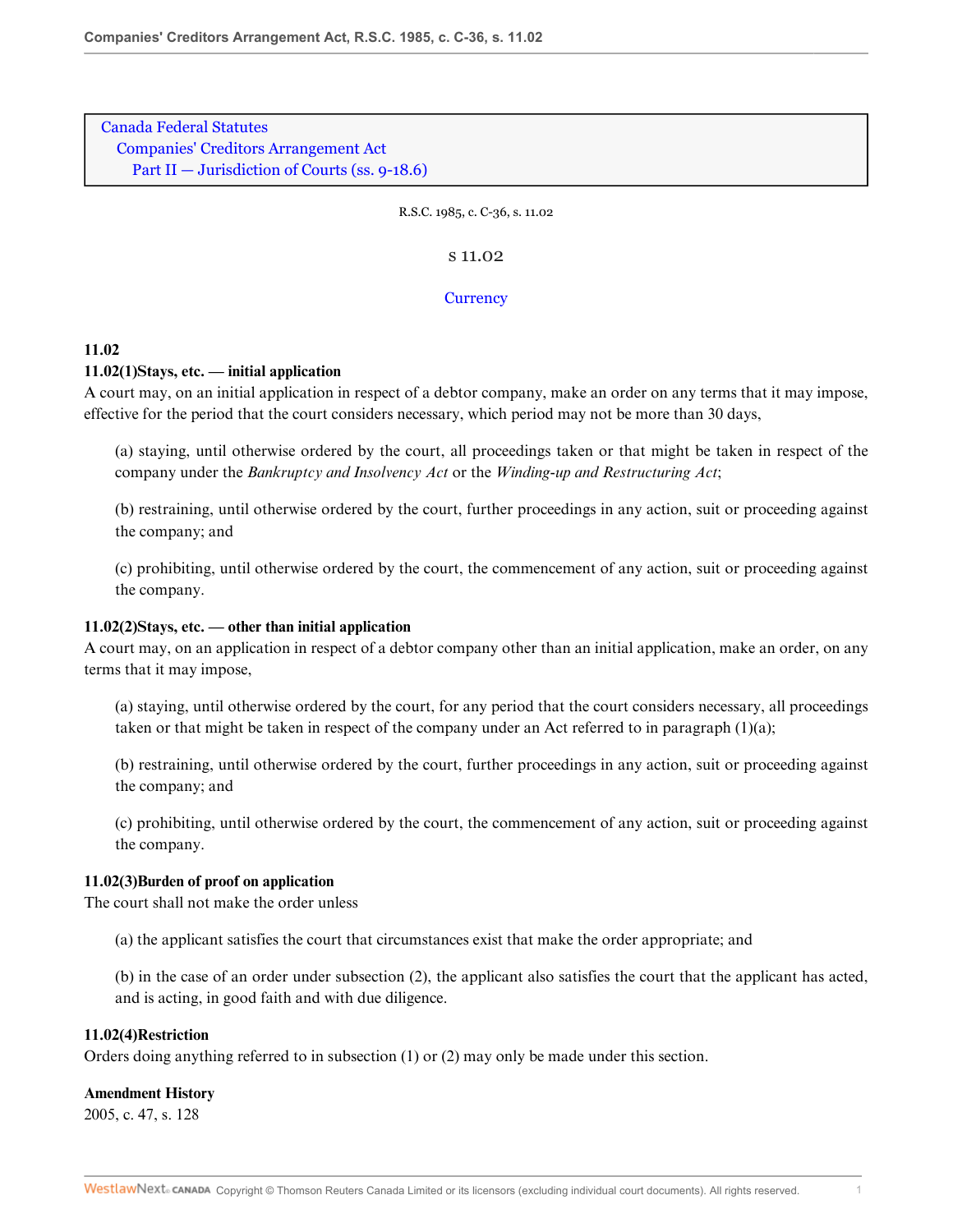[Canada Federal Statutes](http://nextcanada.westlaw.com/Browse/Home/StatutesandRegulations/FederalStatutesandRegulations/FederalStatutesEnglish?productview=none&transitionType=DocumentItem&contextData=(sc.Category)&rs=clbt1.0&vr=3.0) [Companies' Creditors Arrangement Act](http://nextcanada.westlaw.com/Browse/Home/StatutesandRegulations/FederalStatutesandRegulations/FederalStatutesEnglish?productview=none&guid=I6aebbfebf2643e2be0440003baa9c40b&transitionType=DocumentItem&contextData=(sc.Category)&rs=clbt1.0&vr=3.0) Part II – Jurisdiction of Courts (ss. 9-18.6)

R.S.C. 1985, c. C-36, s. 11.02

s 11.02

#### **[Currency](#page-22-0)**

## **11.02**

#### **11.02(1)Stays, etc. — initial application**

A court may, on an initial application in respect of a debtor company, make an order on any terms that it may impose, effective for the period that the court considers necessary, which period may not be more than 30 days,

(a) staying, until otherwise ordered by the court, all proceedings taken or that might be taken in respect of the company under the *Bankruptcy and Insolvency Act* or the *Winding-up and Restructuring Act*;

(b) restraining, until otherwise ordered by the court, further proceedings in any action, suit or proceeding against the company; and

(c) prohibiting, until otherwise ordered by the court, the commencement of any action, suit or proceeding against the company.

#### **11.02(2)Stays, etc. — other than initial application**

A court may, on an application in respect of a debtor company other than an initial application, make an order, on any terms that it may impose,

(a) staying, until otherwise ordered by the court, for any period that the court considers necessary, all proceedings taken or that might be taken in respect of the company under an Act referred to in paragraph (1)(a);

(b) restraining, until otherwise ordered by the court, further proceedings in any action, suit or proceeding against the company; and

(c) prohibiting, until otherwise ordered by the court, the commencement of any action, suit or proceeding against the company.

#### **11.02(3)Burden of proof on application**

The court shall not make the order unless

(a) the applicant satisfies the court that circumstances exist that make the order appropriate; and

(b) in the case of an order under subsection (2), the applicant also satisfies the court that the applicant has acted, and is acting, in good faith and with due diligence.

### **11.02(4)Restriction**

Orders doing anything referred to in subsection (1) or (2) may only be made under this section.

### **Amendment History**

2005, c. 47, s. 128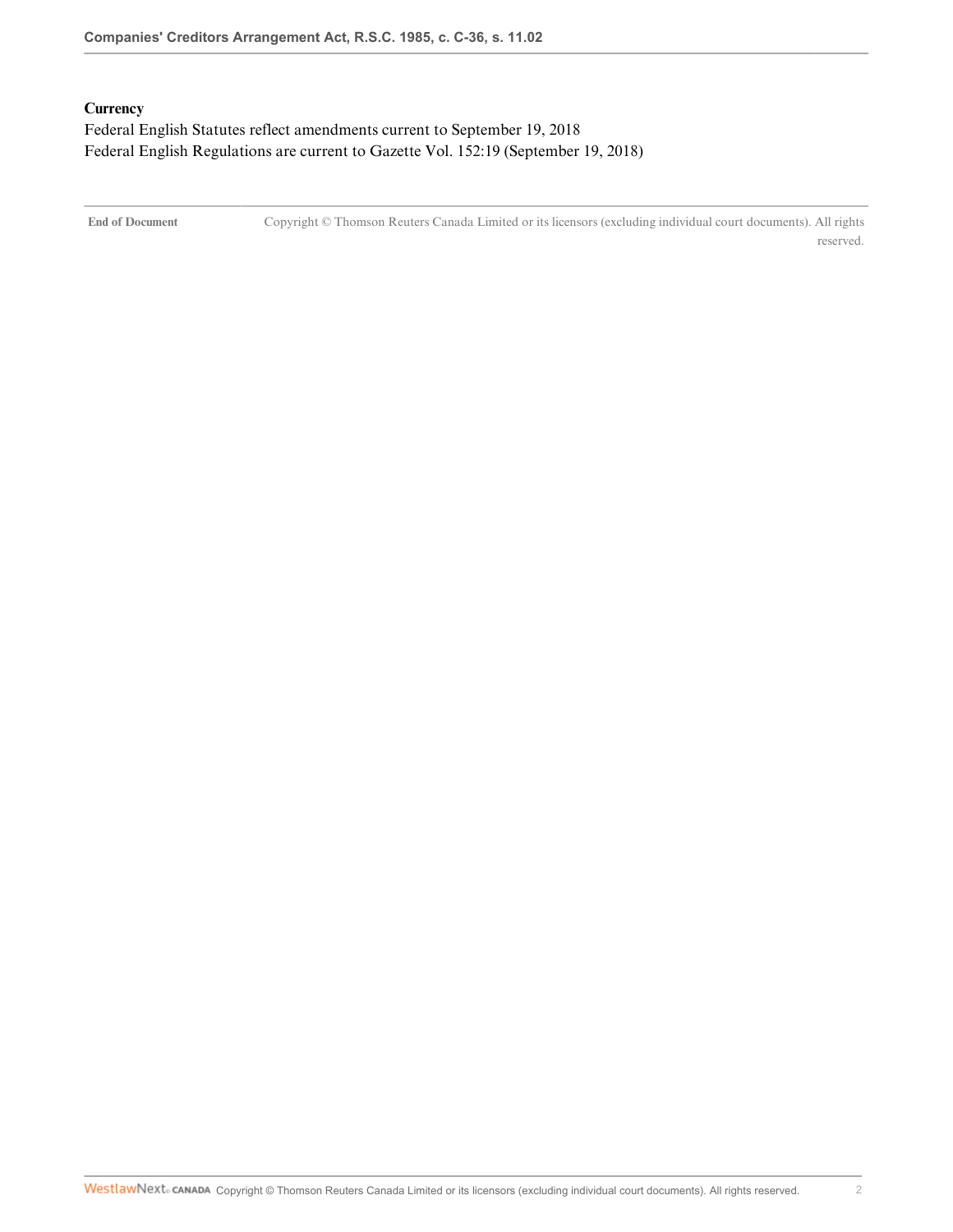## <span id="page-22-0"></span>**Currency**

Federal English Statutes reflect amendments current to September 19, 2018 Federal English Regulations are current to Gazette Vol. 152:19 (September 19, 2018)

**End of Document** Copyright © Thomson Reuters Canada Limited or its licensors (excluding individual court documents). All rights reserved.